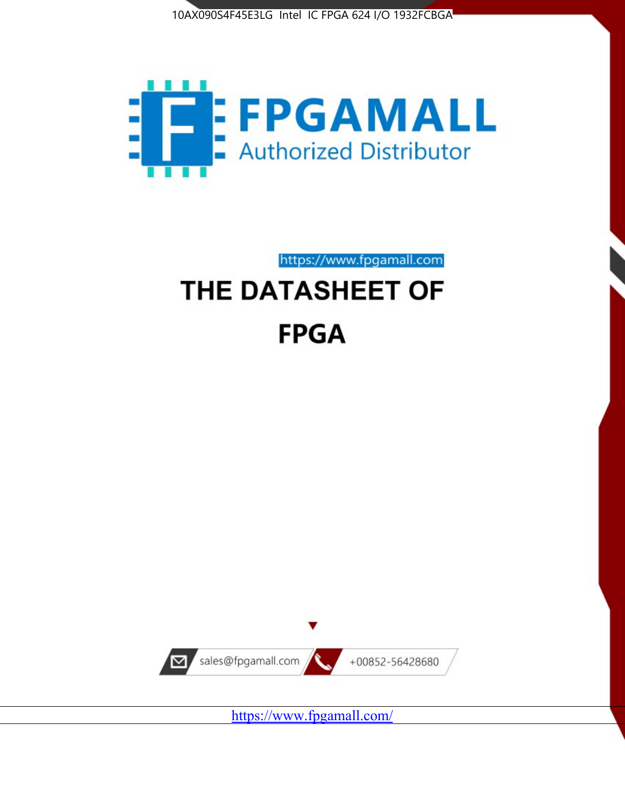



https://www.fpgamall.com

# THE DATASHEET OF **FPGA**



<https://www.fpgamall.com/>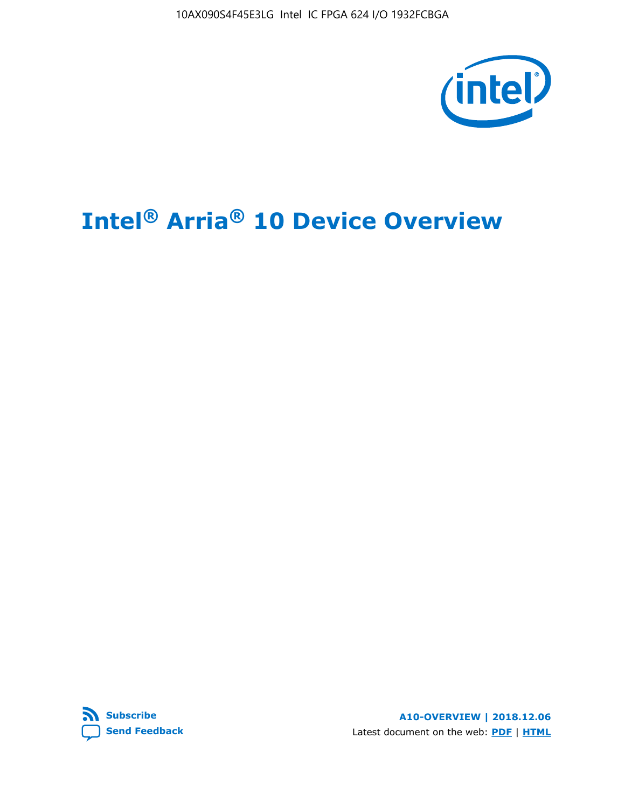10AX090S4F45E3LG Intel IC FPGA 624 I/O 1932FCBGA



# **Intel® Arria® 10 Device Overview**



**A10-OVERVIEW | 2018.12.06** Latest document on the web: **[PDF](https://www.intel.com/content/dam/www/programmable/us/en/pdfs/literature/hb/arria-10/a10_overview.pdf)** | **[HTML](https://www.intel.com/content/www/us/en/programmable/documentation/sam1403480274650.html)**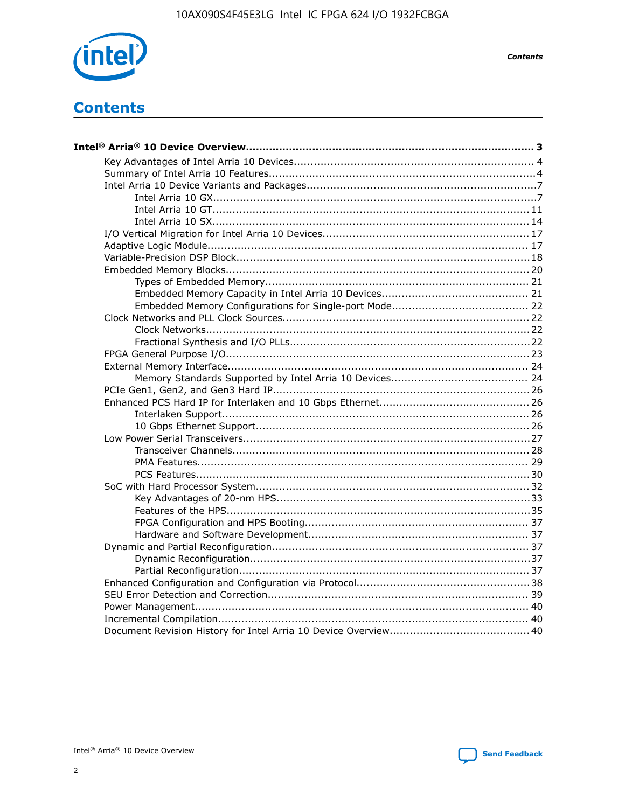

**Contents** 

# **Contents**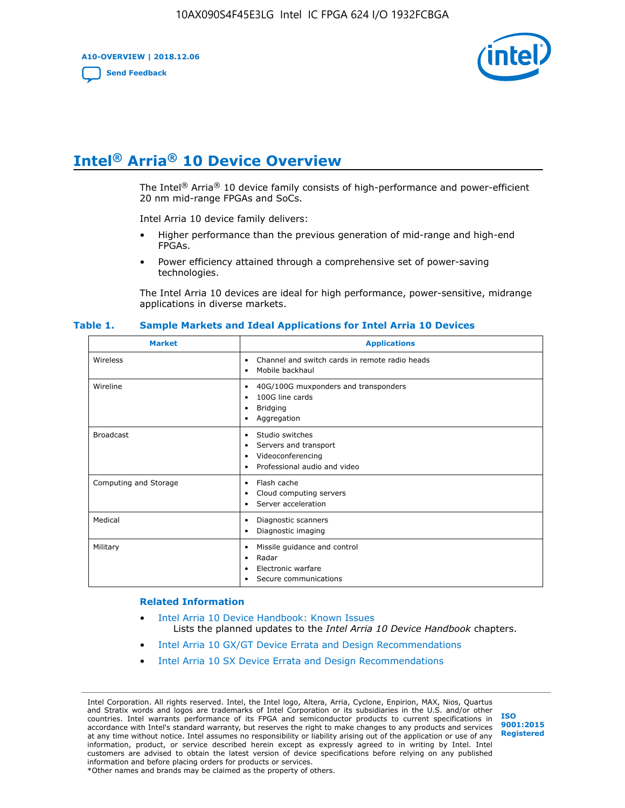**A10-OVERVIEW | 2018.12.06**

**[Send Feedback](mailto:FPGAtechdocfeedback@intel.com?subject=Feedback%20on%20Intel%20Arria%2010%20Device%20Overview%20(A10-OVERVIEW%202018.12.06)&body=We%20appreciate%20your%20feedback.%20In%20your%20comments,%20also%20specify%20the%20page%20number%20or%20paragraph.%20Thank%20you.)**



# **Intel® Arria® 10 Device Overview**

The Intel<sup>®</sup> Arria<sup>®</sup> 10 device family consists of high-performance and power-efficient 20 nm mid-range FPGAs and SoCs.

Intel Arria 10 device family delivers:

- Higher performance than the previous generation of mid-range and high-end FPGAs.
- Power efficiency attained through a comprehensive set of power-saving technologies.

The Intel Arria 10 devices are ideal for high performance, power-sensitive, midrange applications in diverse markets.

| <b>Market</b>         | <b>Applications</b>                                                                                               |
|-----------------------|-------------------------------------------------------------------------------------------------------------------|
| Wireless              | Channel and switch cards in remote radio heads<br>٠<br>Mobile backhaul<br>٠                                       |
| Wireline              | 40G/100G muxponders and transponders<br>٠<br>100G line cards<br>٠<br>Bridging<br>٠<br>Aggregation<br>٠            |
| <b>Broadcast</b>      | Studio switches<br>٠<br>Servers and transport<br>٠<br>Videoconferencing<br>٠<br>Professional audio and video<br>٠ |
| Computing and Storage | Flash cache<br>٠<br>Cloud computing servers<br>٠<br>Server acceleration<br>$\bullet$                              |
| Medical               | Diagnostic scanners<br>٠<br>Diagnostic imaging<br>٠                                                               |
| Military              | Missile guidance and control<br>٠<br>Radar<br>٠<br>Electronic warfare<br>٠<br>Secure communications<br>٠          |

#### **Table 1. Sample Markets and Ideal Applications for Intel Arria 10 Devices**

#### **Related Information**

- [Intel Arria 10 Device Handbook: Known Issues](http://www.altera.com/support/kdb/solutions/rd07302013_646.html) Lists the planned updates to the *Intel Arria 10 Device Handbook* chapters.
- [Intel Arria 10 GX/GT Device Errata and Design Recommendations](https://www.intel.com/content/www/us/en/programmable/documentation/agz1493851706374.html#yqz1494433888646)
- [Intel Arria 10 SX Device Errata and Design Recommendations](https://www.intel.com/content/www/us/en/programmable/documentation/cru1462832385668.html#cru1462832558642)

Intel Corporation. All rights reserved. Intel, the Intel logo, Altera, Arria, Cyclone, Enpirion, MAX, Nios, Quartus and Stratix words and logos are trademarks of Intel Corporation or its subsidiaries in the U.S. and/or other countries. Intel warrants performance of its FPGA and semiconductor products to current specifications in accordance with Intel's standard warranty, but reserves the right to make changes to any products and services at any time without notice. Intel assumes no responsibility or liability arising out of the application or use of any information, product, or service described herein except as expressly agreed to in writing by Intel. Intel customers are advised to obtain the latest version of device specifications before relying on any published information and before placing orders for products or services. \*Other names and brands may be claimed as the property of others.

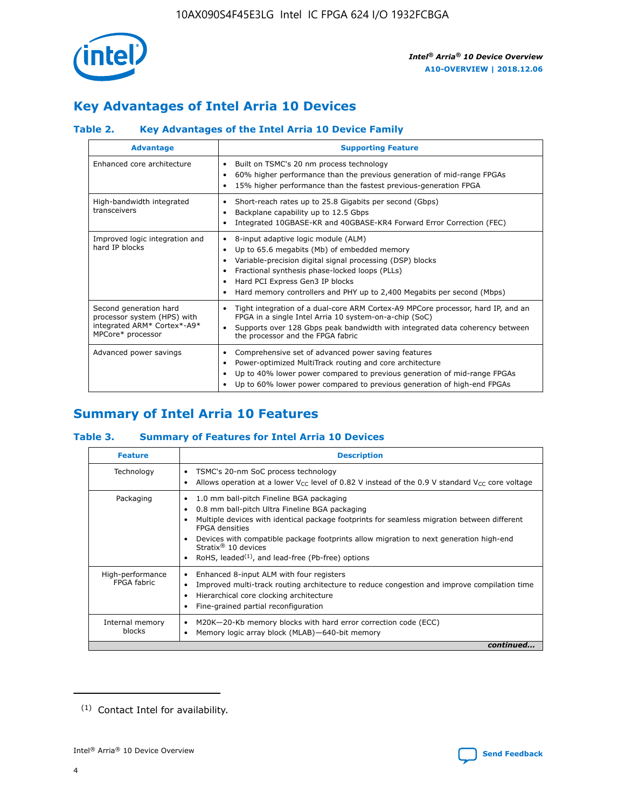

# **Key Advantages of Intel Arria 10 Devices**

# **Table 2. Key Advantages of the Intel Arria 10 Device Family**

| <b>Advantage</b>                                                                                          | <b>Supporting Feature</b>                                                                                                                                                                                                                                                                                                |  |  |  |  |  |
|-----------------------------------------------------------------------------------------------------------|--------------------------------------------------------------------------------------------------------------------------------------------------------------------------------------------------------------------------------------------------------------------------------------------------------------------------|--|--|--|--|--|
| Enhanced core architecture                                                                                | Built on TSMC's 20 nm process technology<br>٠<br>60% higher performance than the previous generation of mid-range FPGAs<br>٠<br>15% higher performance than the fastest previous-generation FPGA<br>٠                                                                                                                    |  |  |  |  |  |
| High-bandwidth integrated<br>transceivers                                                                 | Short-reach rates up to 25.8 Gigabits per second (Gbps)<br>٠<br>Backplane capability up to 12.5 Gbps<br>٠<br>Integrated 10GBASE-KR and 40GBASE-KR4 Forward Error Correction (FEC)<br>٠                                                                                                                                   |  |  |  |  |  |
| Improved logic integration and<br>hard IP blocks                                                          | 8-input adaptive logic module (ALM)<br>٠<br>Up to 65.6 megabits (Mb) of embedded memory<br>٠<br>Variable-precision digital signal processing (DSP) blocks<br>Fractional synthesis phase-locked loops (PLLs)<br>Hard PCI Express Gen3 IP blocks<br>Hard memory controllers and PHY up to 2,400 Megabits per second (Mbps) |  |  |  |  |  |
| Second generation hard<br>processor system (HPS) with<br>integrated ARM* Cortex*-A9*<br>MPCore* processor | Tight integration of a dual-core ARM Cortex-A9 MPCore processor, hard IP, and an<br>٠<br>FPGA in a single Intel Arria 10 system-on-a-chip (SoC)<br>Supports over 128 Gbps peak bandwidth with integrated data coherency between<br>$\bullet$<br>the processor and the FPGA fabric                                        |  |  |  |  |  |
| Advanced power savings                                                                                    | Comprehensive set of advanced power saving features<br>٠<br>Power-optimized MultiTrack routing and core architecture<br>٠<br>Up to 40% lower power compared to previous generation of mid-range FPGAs<br>Up to 60% lower power compared to previous generation of high-end FPGAs                                         |  |  |  |  |  |

# **Summary of Intel Arria 10 Features**

## **Table 3. Summary of Features for Intel Arria 10 Devices**

| <b>Feature</b>                  | <b>Description</b>                                                                                                                                                                                                                                                                                                                                                                                 |
|---------------------------------|----------------------------------------------------------------------------------------------------------------------------------------------------------------------------------------------------------------------------------------------------------------------------------------------------------------------------------------------------------------------------------------------------|
| Technology                      | TSMC's 20-nm SoC process technology<br>Allows operation at a lower $V_{\text{CC}}$ level of 0.82 V instead of the 0.9 V standard $V_{\text{CC}}$ core voltage                                                                                                                                                                                                                                      |
| Packaging                       | 1.0 mm ball-pitch Fineline BGA packaging<br>٠<br>0.8 mm ball-pitch Ultra Fineline BGA packaging<br>Multiple devices with identical package footprints for seamless migration between different<br><b>FPGA</b> densities<br>Devices with compatible package footprints allow migration to next generation high-end<br>Stratix $@10$ devices<br>RoHS, leaded $(1)$ , and lead-free (Pb-free) options |
| High-performance<br>FPGA fabric | Enhanced 8-input ALM with four registers<br>Improved multi-track routing architecture to reduce congestion and improve compilation time<br>Hierarchical core clocking architecture<br>Fine-grained partial reconfiguration                                                                                                                                                                         |
| Internal memory<br>blocks       | M20K-20-Kb memory blocks with hard error correction code (ECC)<br>Memory logic array block (MLAB)-640-bit memory                                                                                                                                                                                                                                                                                   |
|                                 | continued                                                                                                                                                                                                                                                                                                                                                                                          |



<sup>(1)</sup> Contact Intel for availability.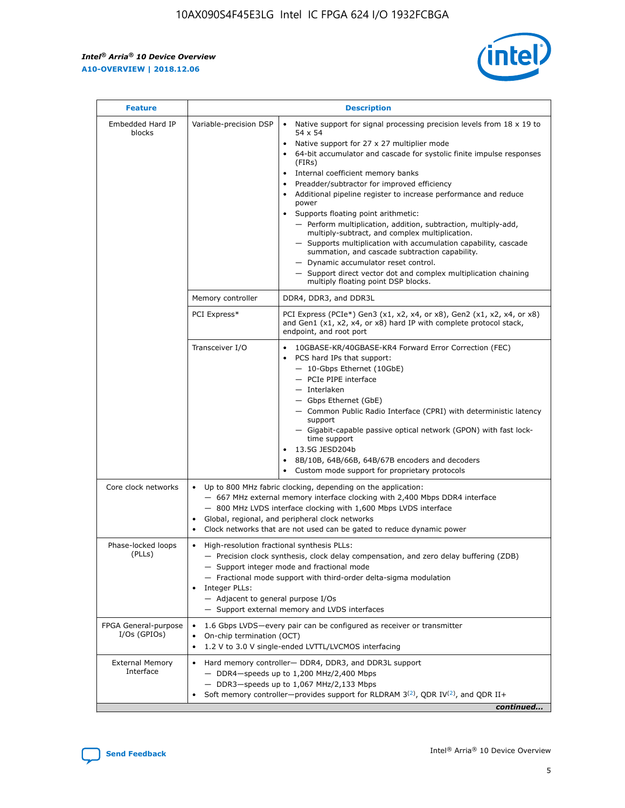$\mathbf{r}$ 



| <b>Feature</b>                         |                                                                                                                | <b>Description</b>                                                                                                                                                                                                                                                                                                                                                                                                                                                                                                                                                                                                                                                                                                                                                                                                                                               |
|----------------------------------------|----------------------------------------------------------------------------------------------------------------|------------------------------------------------------------------------------------------------------------------------------------------------------------------------------------------------------------------------------------------------------------------------------------------------------------------------------------------------------------------------------------------------------------------------------------------------------------------------------------------------------------------------------------------------------------------------------------------------------------------------------------------------------------------------------------------------------------------------------------------------------------------------------------------------------------------------------------------------------------------|
| Embedded Hard IP<br>blocks             | Variable-precision DSP                                                                                         | Native support for signal processing precision levels from $18 \times 19$ to<br>$\bullet$<br>54 x 54<br>Native support for 27 x 27 multiplier mode<br>$\bullet$<br>64-bit accumulator and cascade for systolic finite impulse responses<br>(FIRs)<br>Internal coefficient memory banks<br>$\bullet$<br>Preadder/subtractor for improved efficiency<br>Additional pipeline register to increase performance and reduce<br>power<br>Supports floating point arithmetic:<br>- Perform multiplication, addition, subtraction, multiply-add,<br>multiply-subtract, and complex multiplication.<br>- Supports multiplication with accumulation capability, cascade<br>summation, and cascade subtraction capability.<br>- Dynamic accumulator reset control.<br>- Support direct vector dot and complex multiplication chaining<br>multiply floating point DSP blocks. |
|                                        | Memory controller                                                                                              | DDR4, DDR3, and DDR3L                                                                                                                                                                                                                                                                                                                                                                                                                                                                                                                                                                                                                                                                                                                                                                                                                                            |
|                                        | PCI Express*                                                                                                   | PCI Express (PCIe*) Gen3 (x1, x2, x4, or x8), Gen2 (x1, x2, x4, or x8)<br>and Gen1 (x1, x2, x4, or x8) hard IP with complete protocol stack,<br>endpoint, and root port                                                                                                                                                                                                                                                                                                                                                                                                                                                                                                                                                                                                                                                                                          |
|                                        | Transceiver I/O                                                                                                | 10GBASE-KR/40GBASE-KR4 Forward Error Correction (FEC)<br>PCS hard IPs that support:<br>- 10-Gbps Ethernet (10GbE)<br>- PCIe PIPE interface<br>- Interlaken<br>- Gbps Ethernet (GbE)<br>- Common Public Radio Interface (CPRI) with deterministic latency<br>support<br>- Gigabit-capable passive optical network (GPON) with fast lock-<br>time support<br>13.5G JESD204b<br>$\bullet$<br>8B/10B, 64B/66B, 64B/67B encoders and decoders<br>Custom mode support for proprietary protocols                                                                                                                                                                                                                                                                                                                                                                        |
| Core clock networks                    | $\bullet$                                                                                                      | Up to 800 MHz fabric clocking, depending on the application:<br>- 667 MHz external memory interface clocking with 2,400 Mbps DDR4 interface<br>- 800 MHz LVDS interface clocking with 1,600 Mbps LVDS interface<br>Global, regional, and peripheral clock networks<br>Clock networks that are not used can be gated to reduce dynamic power                                                                                                                                                                                                                                                                                                                                                                                                                                                                                                                      |
| Phase-locked loops<br>(PLLs)           | High-resolution fractional synthesis PLLs:<br>$\bullet$<br>Integer PLLs:<br>- Adjacent to general purpose I/Os | - Precision clock synthesis, clock delay compensation, and zero delay buffering (ZDB)<br>- Support integer mode and fractional mode<br>- Fractional mode support with third-order delta-sigma modulation<br>- Support external memory and LVDS interfaces                                                                                                                                                                                                                                                                                                                                                                                                                                                                                                                                                                                                        |
| FPGA General-purpose<br>$I/Os$ (GPIOs) | On-chip termination (OCT)<br>$\bullet$                                                                         | 1.6 Gbps LVDS-every pair can be configured as receiver or transmitter<br>1.2 V to 3.0 V single-ended LVTTL/LVCMOS interfacing                                                                                                                                                                                                                                                                                                                                                                                                                                                                                                                                                                                                                                                                                                                                    |
| <b>External Memory</b><br>Interface    | $\bullet$                                                                                                      | Hard memory controller- DDR4, DDR3, and DDR3L support<br>$-$ DDR4-speeds up to 1,200 MHz/2,400 Mbps<br>- DDR3-speeds up to 1,067 MHz/2,133 Mbps<br>Soft memory controller—provides support for RLDRAM $3^{(2)}$ , QDR IV $^{(2)}$ , and QDR II+<br>continued                                                                                                                                                                                                                                                                                                                                                                                                                                                                                                                                                                                                     |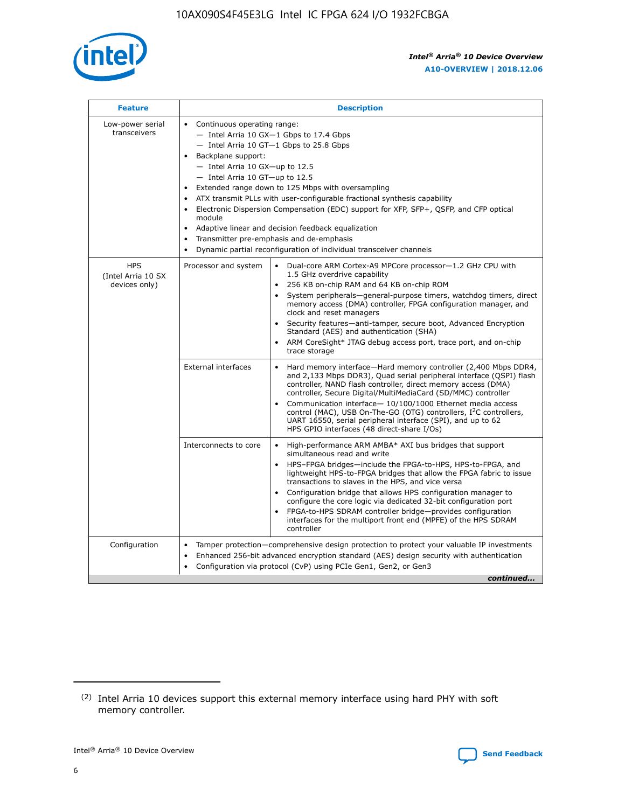

| <b>Feature</b>                                    | <b>Description</b>                                                                                                                                                                                                                                                                                                                                                                                                                                                                                                                                                                                                                                    |
|---------------------------------------------------|-------------------------------------------------------------------------------------------------------------------------------------------------------------------------------------------------------------------------------------------------------------------------------------------------------------------------------------------------------------------------------------------------------------------------------------------------------------------------------------------------------------------------------------------------------------------------------------------------------------------------------------------------------|
| Low-power serial<br>transceivers                  | • Continuous operating range:<br>- Intel Arria 10 GX-1 Gbps to 17.4 Gbps<br>- Intel Arria 10 GT-1 Gbps to 25.8 Gbps<br>Backplane support:<br>$-$ Intel Arria 10 GX-up to 12.5<br>- Intel Arria 10 GT-up to 12.5<br>Extended range down to 125 Mbps with oversampling<br>ATX transmit PLLs with user-configurable fractional synthesis capability<br>Electronic Dispersion Compensation (EDC) support for XFP, SFP+, QSFP, and CFP optical<br>module<br>Adaptive linear and decision feedback equalization<br>$\bullet$<br>Transmitter pre-emphasis and de-emphasis<br>$\bullet$<br>Dynamic partial reconfiguration of individual transceiver channels |
| <b>HPS</b><br>(Intel Arria 10 SX<br>devices only) | • Dual-core ARM Cortex-A9 MPCore processor-1.2 GHz CPU with<br>Processor and system<br>1.5 GHz overdrive capability<br>256 KB on-chip RAM and 64 KB on-chip ROM<br>$\bullet$<br>System peripherals—general-purpose timers, watchdog timers, direct<br>memory access (DMA) controller, FPGA configuration manager, and<br>clock and reset managers<br>• Security features—anti-tamper, secure boot, Advanced Encryption<br>Standard (AES) and authentication (SHA)<br>ARM CoreSight* JTAG debug access port, trace port, and on-chip<br>$\bullet$<br>trace storage                                                                                     |
|                                                   | <b>External interfaces</b><br>Hard memory interface-Hard memory controller (2,400 Mbps DDR4,<br>$\bullet$<br>and 2,133 Mbps DDR3), Quad serial peripheral interface (QSPI) flash<br>controller, NAND flash controller, direct memory access (DMA)<br>controller, Secure Digital/MultiMediaCard (SD/MMC) controller<br>Communication interface-10/100/1000 Ethernet media access<br>$\bullet$<br>control (MAC), USB On-The-GO (OTG) controllers, I <sup>2</sup> C controllers,<br>UART 16550, serial peripheral interface (SPI), and up to 62<br>HPS GPIO interfaces (48 direct-share I/Os)                                                            |
|                                                   | High-performance ARM AMBA* AXI bus bridges that support<br>Interconnects to core<br>$\bullet$<br>simultaneous read and write<br>HPS-FPGA bridges-include the FPGA-to-HPS, HPS-to-FPGA, and<br>$\bullet$<br>lightweight HPS-to-FPGA bridges that allow the FPGA fabric to issue<br>transactions to slaves in the HPS, and vice versa<br>Configuration bridge that allows HPS configuration manager to<br>configure the core logic via dedicated 32-bit configuration port<br>FPGA-to-HPS SDRAM controller bridge-provides configuration<br>interfaces for the multiport front end (MPFE) of the HPS SDRAM<br>controller                                |
| Configuration                                     | Tamper protection—comprehensive design protection to protect your valuable IP investments<br>Enhanced 256-bit advanced encryption standard (AES) design security with authentication<br>$\bullet$<br>Configuration via protocol (CvP) using PCIe Gen1, Gen2, or Gen3<br>continued                                                                                                                                                                                                                                                                                                                                                                     |

<sup>(2)</sup> Intel Arria 10 devices support this external memory interface using hard PHY with soft memory controller.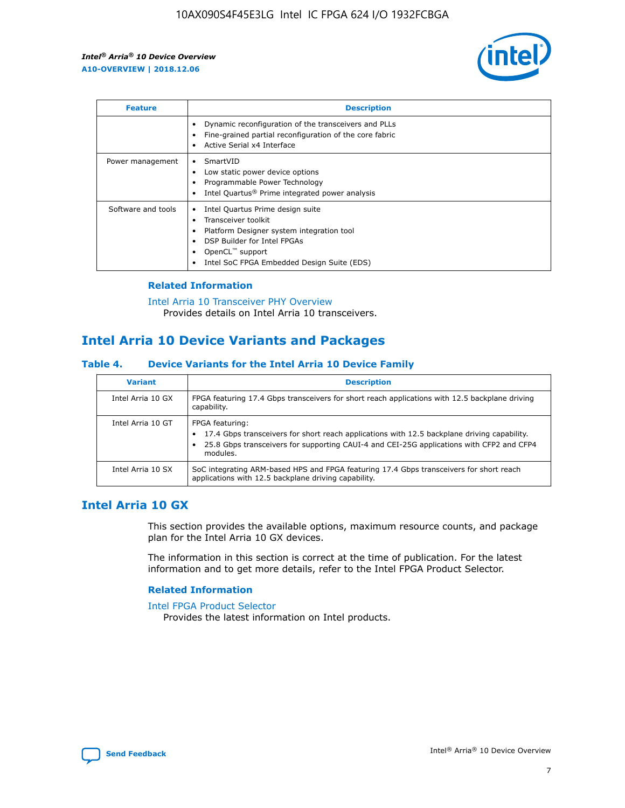

| <b>Feature</b>     | <b>Description</b>                                                                                                                                                                                                    |
|--------------------|-----------------------------------------------------------------------------------------------------------------------------------------------------------------------------------------------------------------------|
|                    | Dynamic reconfiguration of the transceivers and PLLs<br>Fine-grained partial reconfiguration of the core fabric<br>Active Serial x4 Interface                                                                         |
| Power management   | SmartVID<br>Low static power device options<br>Programmable Power Technology<br>Intel Quartus <sup>®</sup> Prime integrated power analysis                                                                            |
| Software and tools | Intel Quartus Prime design suite<br>Transceiver toolkit<br>٠<br>Platform Designer system integration tool<br>DSP Builder for Intel FPGAs<br>OpenCL <sup>™</sup> support<br>Intel SoC FPGA Embedded Design Suite (EDS) |

## **Related Information**

[Intel Arria 10 Transceiver PHY Overview](https://www.intel.com/content/www/us/en/programmable/documentation/nik1398707230472.html#nik1398706768037) Provides details on Intel Arria 10 transceivers.

# **Intel Arria 10 Device Variants and Packages**

#### **Table 4. Device Variants for the Intel Arria 10 Device Family**

| <b>Variant</b>    | <b>Description</b>                                                                                                                                                                                                     |
|-------------------|------------------------------------------------------------------------------------------------------------------------------------------------------------------------------------------------------------------------|
| Intel Arria 10 GX | FPGA featuring 17.4 Gbps transceivers for short reach applications with 12.5 backplane driving<br>capability.                                                                                                          |
| Intel Arria 10 GT | FPGA featuring:<br>17.4 Gbps transceivers for short reach applications with 12.5 backplane driving capability.<br>25.8 Gbps transceivers for supporting CAUI-4 and CEI-25G applications with CFP2 and CFP4<br>modules. |
| Intel Arria 10 SX | SoC integrating ARM-based HPS and FPGA featuring 17.4 Gbps transceivers for short reach<br>applications with 12.5 backplane driving capability.                                                                        |

# **Intel Arria 10 GX**

This section provides the available options, maximum resource counts, and package plan for the Intel Arria 10 GX devices.

The information in this section is correct at the time of publication. For the latest information and to get more details, refer to the Intel FPGA Product Selector.

#### **Related Information**

#### [Intel FPGA Product Selector](http://www.altera.com/products/selector/psg-selector.html) Provides the latest information on Intel products.

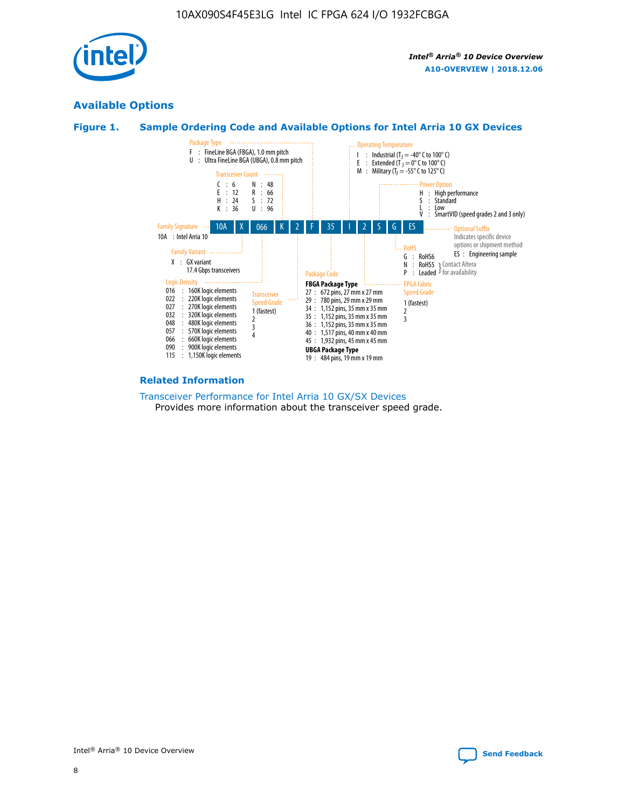

# **Available Options**





#### **Related Information**

[Transceiver Performance for Intel Arria 10 GX/SX Devices](https://www.intel.com/content/www/us/en/programmable/documentation/mcn1413182292568.html#mcn1413213965502) Provides more information about the transceiver speed grade.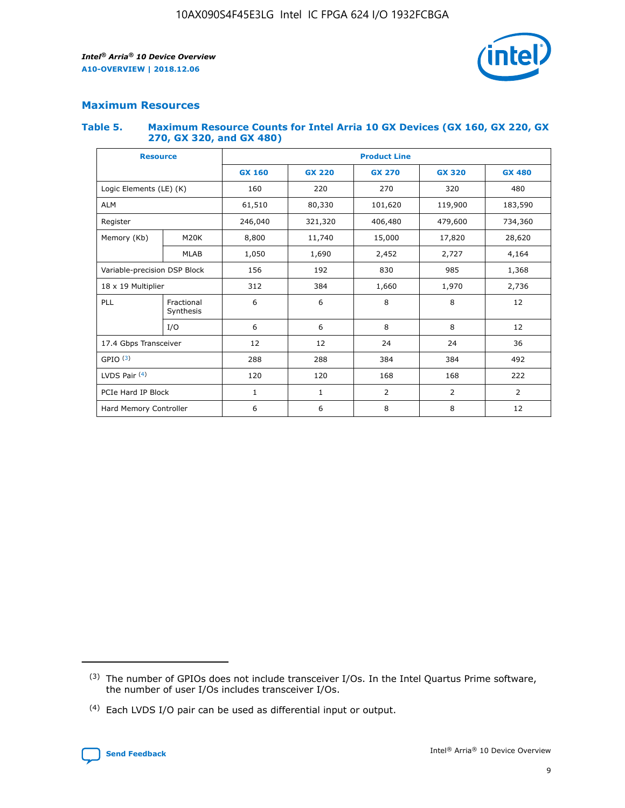

# **Maximum Resources**

#### **Table 5. Maximum Resource Counts for Intel Arria 10 GX Devices (GX 160, GX 220, GX 270, GX 320, and GX 480)**

| <b>Resource</b>              |                         | <b>Product Line</b> |                                |                |                |                |  |  |  |
|------------------------------|-------------------------|---------------------|--------------------------------|----------------|----------------|----------------|--|--|--|
|                              |                         | <b>GX 160</b>       | <b>GX 220</b><br><b>GX 270</b> |                | <b>GX 320</b>  | <b>GX 480</b>  |  |  |  |
| Logic Elements (LE) (K)      |                         | 160                 | 220                            | 270            | 320            | 480            |  |  |  |
| <b>ALM</b>                   |                         | 61,510              | 80,330                         | 101,620        | 119,900        | 183,590        |  |  |  |
| Register                     |                         | 246,040             | 321,320                        | 406,480        | 479,600        | 734,360        |  |  |  |
| Memory (Kb)                  | M <sub>20</sub> K       | 8,800               | 11,740                         | 15,000         | 17,820         | 28,620         |  |  |  |
|                              | <b>MLAB</b>             | 1,050               | 1,690                          | 2,452          | 2,727          | 4,164          |  |  |  |
| Variable-precision DSP Block |                         | 156                 | 192                            | 830<br>985     |                | 1,368          |  |  |  |
| 18 x 19 Multiplier           |                         | 312                 | 384                            | 1,970<br>1,660 |                | 2,736          |  |  |  |
| PLL                          | Fractional<br>Synthesis | 6                   | 6                              | 8              | 8              | 12             |  |  |  |
|                              | I/O                     | 6                   | 6                              | 8              | 8              | 12             |  |  |  |
| 17.4 Gbps Transceiver        |                         | 12                  | 12                             | 24             | 24             | 36             |  |  |  |
| GPIO <sup>(3)</sup>          |                         | 288                 | 288                            | 384<br>384     |                | 492            |  |  |  |
| LVDS Pair $(4)$              |                         | 120                 | 120                            | 168            | 168            | 222            |  |  |  |
| PCIe Hard IP Block           |                         | $\mathbf{1}$        | 1                              | $\overline{2}$ | $\overline{2}$ | $\overline{2}$ |  |  |  |
| Hard Memory Controller       |                         | 6                   | 6                              | 8              | 8              | 12             |  |  |  |

<sup>(4)</sup> Each LVDS I/O pair can be used as differential input or output.



<sup>(3)</sup> The number of GPIOs does not include transceiver I/Os. In the Intel Quartus Prime software, the number of user I/Os includes transceiver I/Os.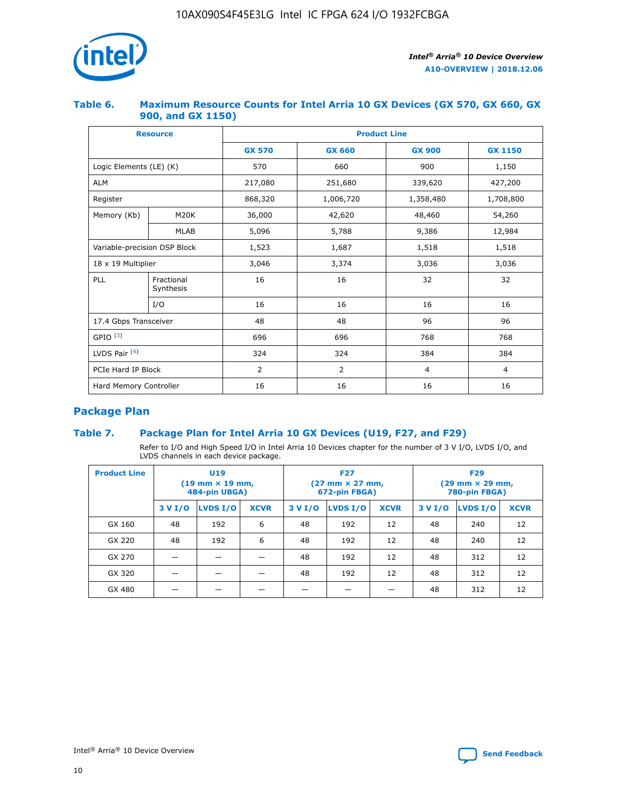

## **Table 6. Maximum Resource Counts for Intel Arria 10 GX Devices (GX 570, GX 660, GX 900, and GX 1150)**

|                              | <b>Resource</b>         | <b>Product Line</b> |                |                |                |  |  |  |  |
|------------------------------|-------------------------|---------------------|----------------|----------------|----------------|--|--|--|--|
|                              |                         | <b>GX 570</b>       | <b>GX 660</b>  | <b>GX 900</b>  | <b>GX 1150</b> |  |  |  |  |
| Logic Elements (LE) (K)      |                         | 570                 | 660            | 900            | 1,150          |  |  |  |  |
| <b>ALM</b>                   |                         | 217,080             | 251,680        | 339,620        | 427,200        |  |  |  |  |
| Register                     |                         | 868,320             | 1,006,720      | 1,358,480      | 1,708,800      |  |  |  |  |
| Memory (Kb)                  | <b>M20K</b>             | 36,000              | 42,620         | 48,460         | 54,260         |  |  |  |  |
|                              | <b>MLAB</b>             | 5,096               | 5,788<br>9,386 |                | 12,984         |  |  |  |  |
| Variable-precision DSP Block |                         | 1,523               | 1,687          | 1,518          | 1,518          |  |  |  |  |
| $18 \times 19$ Multiplier    |                         | 3,046               | 3,374          | 3,036          | 3,036          |  |  |  |  |
| PLL                          | Fractional<br>Synthesis | 16                  | 16             | 32             | 32             |  |  |  |  |
|                              | I/O                     | 16                  | 16             | 16             | 16             |  |  |  |  |
| 17.4 Gbps Transceiver        |                         | 48                  | 48             | 96             | 96             |  |  |  |  |
| GPIO <sup>(3)</sup>          |                         | 696                 | 696            | 768            | 768            |  |  |  |  |
| LVDS Pair $(4)$              |                         | 324                 | 324            | 384            | 384            |  |  |  |  |
| PCIe Hard IP Block           |                         | 2                   | 2              | $\overline{4}$ | $\overline{4}$ |  |  |  |  |
| Hard Memory Controller       |                         | 16                  | 16             | 16             | 16             |  |  |  |  |

# **Package Plan**

# **Table 7. Package Plan for Intel Arria 10 GX Devices (U19, F27, and F29)**

Refer to I/O and High Speed I/O in Intel Arria 10 Devices chapter for the number of 3 V I/O, LVDS I/O, and LVDS channels in each device package.

| <b>Product Line</b> | U <sub>19</sub><br>$(19 \text{ mm} \times 19 \text{ mm})$<br>484-pin UBGA) |          |             |         | <b>F27</b><br>(27 mm × 27 mm,<br>672-pin FBGA) |             | <b>F29</b><br>(29 mm × 29 mm,<br>780-pin FBGA) |          |             |  |
|---------------------|----------------------------------------------------------------------------|----------|-------------|---------|------------------------------------------------|-------------|------------------------------------------------|----------|-------------|--|
|                     | 3 V I/O                                                                    | LVDS I/O | <b>XCVR</b> | 3 V I/O | LVDS I/O                                       | <b>XCVR</b> | 3 V I/O                                        | LVDS I/O | <b>XCVR</b> |  |
| GX 160              | 48                                                                         | 192      | 6           | 48      | 192                                            | 12          | 48                                             | 240      | 12          |  |
| GX 220              | 48                                                                         | 192      | 6           | 48      | 192                                            | 12          | 48                                             | 240      | 12          |  |
| GX 270              |                                                                            |          |             | 48      | 192                                            | 12          | 48                                             | 312      | 12          |  |
| GX 320              |                                                                            |          |             | 48      | 192                                            | 12          | 48                                             | 312      | 12          |  |
| GX 480              |                                                                            |          |             |         |                                                |             | 48                                             | 312      | 12          |  |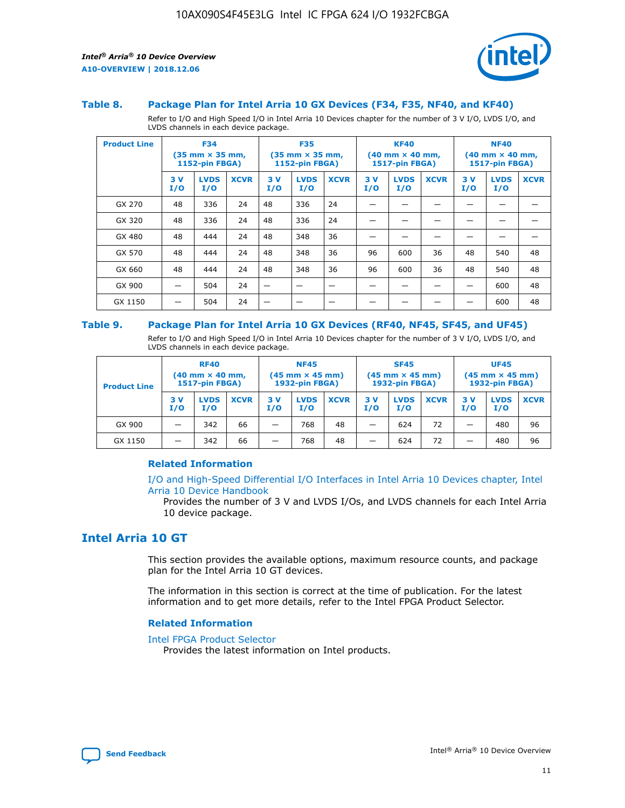

#### **Table 8. Package Plan for Intel Arria 10 GX Devices (F34, F35, NF40, and KF40)**

Refer to I/O and High Speed I/O in Intel Arria 10 Devices chapter for the number of 3 V I/O, LVDS I/O, and LVDS channels in each device package.

| <b>Product Line</b> | <b>F34</b><br>$(35 \text{ mm} \times 35 \text{ mm})$<br><b>1152-pin FBGA)</b> |                    | <b>F35</b><br>$(35 \text{ mm} \times 35 \text{ mm})$<br><b>1152-pin FBGA)</b> |           | <b>KF40</b><br>$(40$ mm $\times$ 40 mm,<br>1517-pin FBGA) |             |           | <b>NF40</b><br>$(40 \text{ mm} \times 40 \text{ mm})$<br>1517-pin FBGA) |             |           |                    |             |
|---------------------|-------------------------------------------------------------------------------|--------------------|-------------------------------------------------------------------------------|-----------|-----------------------------------------------------------|-------------|-----------|-------------------------------------------------------------------------|-------------|-----------|--------------------|-------------|
|                     | 3V<br>I/O                                                                     | <b>LVDS</b><br>I/O | <b>XCVR</b>                                                                   | 3V<br>I/O | <b>LVDS</b><br>I/O                                        | <b>XCVR</b> | 3V<br>I/O | <b>LVDS</b><br>I/O                                                      | <b>XCVR</b> | 3V<br>I/O | <b>LVDS</b><br>I/O | <b>XCVR</b> |
| GX 270              | 48                                                                            | 336                | 24                                                                            | 48        | 336                                                       | 24          |           |                                                                         |             |           |                    |             |
| GX 320              | 48                                                                            | 336                | 24                                                                            | 48        | 336                                                       | 24          |           |                                                                         |             |           |                    |             |
| GX 480              | 48                                                                            | 444                | 24                                                                            | 48        | 348                                                       | 36          |           |                                                                         |             |           |                    |             |
| GX 570              | 48                                                                            | 444                | 24                                                                            | 48        | 348                                                       | 36          | 96        | 600                                                                     | 36          | 48        | 540                | 48          |
| GX 660              | 48                                                                            | 444                | 24                                                                            | 48        | 348                                                       | 36          | 96        | 600                                                                     | 36          | 48        | 540                | 48          |
| GX 900              |                                                                               | 504                | 24                                                                            | —         |                                                           | -           |           |                                                                         |             |           | 600                | 48          |
| GX 1150             |                                                                               | 504                | 24                                                                            |           |                                                           |             |           |                                                                         |             |           | 600                | 48          |

#### **Table 9. Package Plan for Intel Arria 10 GX Devices (RF40, NF45, SF45, and UF45)**

Refer to I/O and High Speed I/O in Intel Arria 10 Devices chapter for the number of 3 V I/O, LVDS I/O, and LVDS channels in each device package.

| <b>Product Line</b> | <b>RF40</b><br>$(40$ mm $\times$ 40 mm,<br>1517-pin FBGA) |                    |             | <b>NF45</b><br>$(45 \text{ mm} \times 45 \text{ mm})$<br><b>1932-pin FBGA)</b> |                    |             | <b>SF45</b><br>$(45 \text{ mm} \times 45 \text{ mm})$<br><b>1932-pin FBGA)</b> |                    |             | <b>UF45</b><br>$(45 \text{ mm} \times 45 \text{ mm})$<br><b>1932-pin FBGA)</b> |                    |             |
|---------------------|-----------------------------------------------------------|--------------------|-------------|--------------------------------------------------------------------------------|--------------------|-------------|--------------------------------------------------------------------------------|--------------------|-------------|--------------------------------------------------------------------------------|--------------------|-------------|
|                     | 3V<br>I/O                                                 | <b>LVDS</b><br>I/O | <b>XCVR</b> | 3 V<br>I/O                                                                     | <b>LVDS</b><br>I/O | <b>XCVR</b> | 3 V<br>I/O                                                                     | <b>LVDS</b><br>I/O | <b>XCVR</b> | 3V<br>I/O                                                                      | <b>LVDS</b><br>I/O | <b>XCVR</b> |
| GX 900              |                                                           | 342                | 66          | _                                                                              | 768                | 48          |                                                                                | 624                | 72          |                                                                                | 480                | 96          |
| GX 1150             |                                                           | 342                | 66          | _                                                                              | 768                | 48          |                                                                                | 624                | 72          |                                                                                | 480                | 96          |

### **Related Information**

[I/O and High-Speed Differential I/O Interfaces in Intel Arria 10 Devices chapter, Intel](https://www.intel.com/content/www/us/en/programmable/documentation/sam1403482614086.html#sam1403482030321) [Arria 10 Device Handbook](https://www.intel.com/content/www/us/en/programmable/documentation/sam1403482614086.html#sam1403482030321)

Provides the number of 3 V and LVDS I/Os, and LVDS channels for each Intel Arria 10 device package.

# **Intel Arria 10 GT**

This section provides the available options, maximum resource counts, and package plan for the Intel Arria 10 GT devices.

The information in this section is correct at the time of publication. For the latest information and to get more details, refer to the Intel FPGA Product Selector.

#### **Related Information**

#### [Intel FPGA Product Selector](http://www.altera.com/products/selector/psg-selector.html)

Provides the latest information on Intel products.

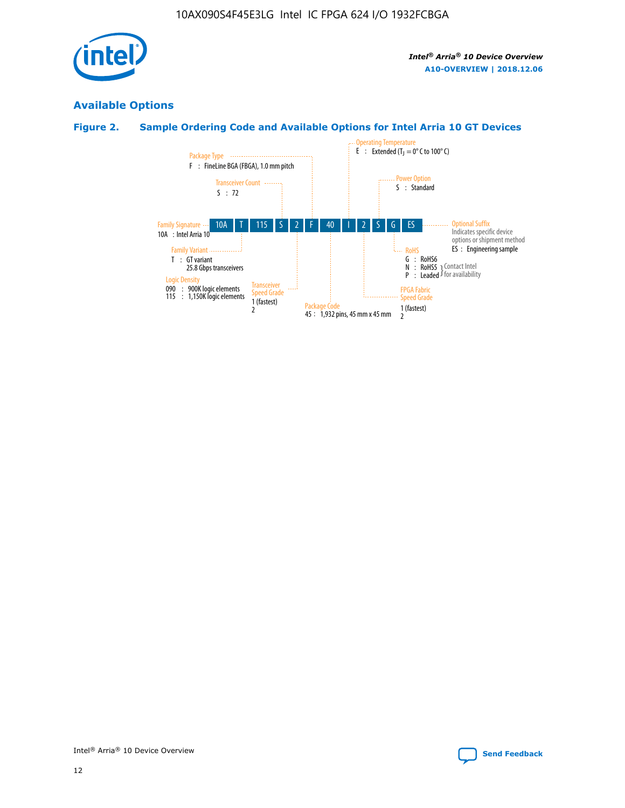

# **Available Options**

# **Figure 2. Sample Ordering Code and Available Options for Intel Arria 10 GT Devices**

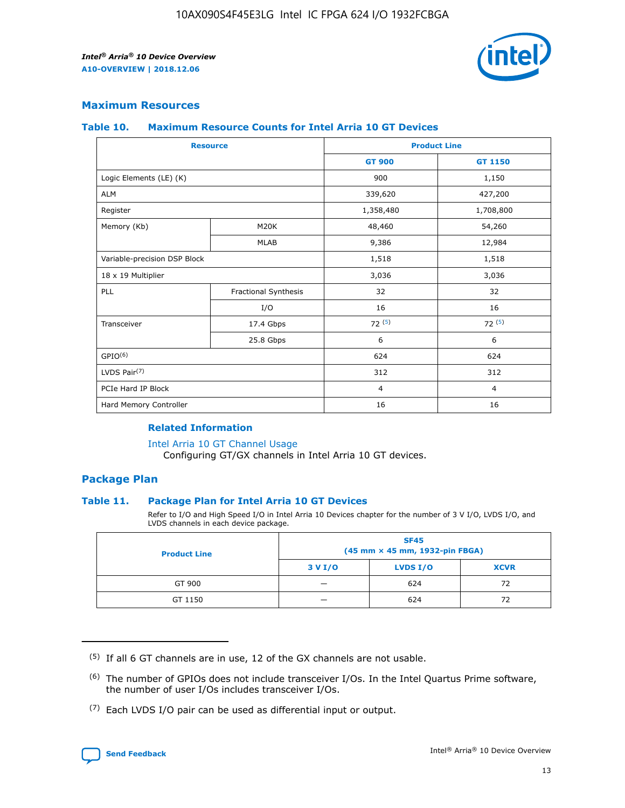

## **Maximum Resources**

#### **Table 10. Maximum Resource Counts for Intel Arria 10 GT Devices**

|                              | <b>Resource</b>      | <b>Product Line</b> |                |  |
|------------------------------|----------------------|---------------------|----------------|--|
|                              |                      | <b>GT 900</b>       | GT 1150        |  |
| Logic Elements (LE) (K)      |                      | 900                 | 1,150          |  |
| <b>ALM</b>                   |                      | 339,620             | 427,200        |  |
| Register                     |                      | 1,358,480           | 1,708,800      |  |
| Memory (Kb)                  | M20K                 | 48,460              | 54,260         |  |
|                              | <b>MLAB</b>          | 9,386               | 12,984         |  |
| Variable-precision DSP Block |                      | 1,518               | 1,518          |  |
| 18 x 19 Multiplier           |                      | 3,036               | 3,036          |  |
| <b>PLL</b>                   | Fractional Synthesis | 32                  | 32             |  |
|                              | I/O                  | 16                  | 16             |  |
| Transceiver                  | 17.4 Gbps            | 72(5)               | 72(5)          |  |
|                              | 25.8 Gbps            | 6                   | 6              |  |
| GPIO <sup>(6)</sup>          |                      | 624                 | 624            |  |
| LVDS Pair $(7)$              |                      | 312                 | 312            |  |
| PCIe Hard IP Block           |                      | $\overline{4}$      | $\overline{4}$ |  |
| Hard Memory Controller       |                      | 16                  | 16             |  |

### **Related Information**

#### [Intel Arria 10 GT Channel Usage](https://www.intel.com/content/www/us/en/programmable/documentation/nik1398707230472.html#nik1398707008178)

Configuring GT/GX channels in Intel Arria 10 GT devices.

## **Package Plan**

#### **Table 11. Package Plan for Intel Arria 10 GT Devices**

Refer to I/O and High Speed I/O in Intel Arria 10 Devices chapter for the number of 3 V I/O, LVDS I/O, and LVDS channels in each device package.

| <b>Product Line</b> | <b>SF45</b><br>(45 mm × 45 mm, 1932-pin FBGA) |                 |             |  |  |  |
|---------------------|-----------------------------------------------|-----------------|-------------|--|--|--|
|                     | 3 V I/O                                       | <b>LVDS I/O</b> | <b>XCVR</b> |  |  |  |
| GT 900              |                                               | 624             | 72          |  |  |  |
| GT 1150             |                                               | 624             | 72          |  |  |  |

<sup>(7)</sup> Each LVDS I/O pair can be used as differential input or output.



 $(5)$  If all 6 GT channels are in use, 12 of the GX channels are not usable.

<sup>(6)</sup> The number of GPIOs does not include transceiver I/Os. In the Intel Quartus Prime software, the number of user I/Os includes transceiver I/Os.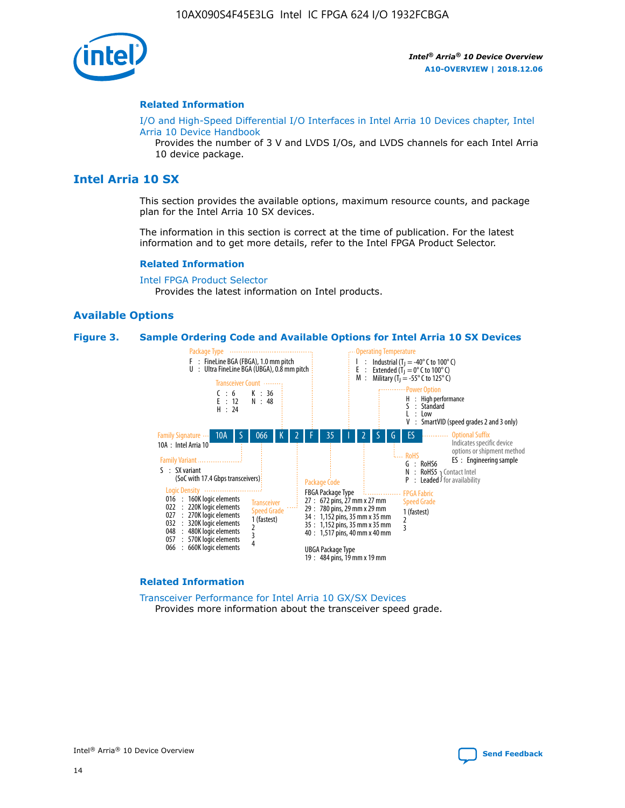

#### **Related Information**

[I/O and High-Speed Differential I/O Interfaces in Intel Arria 10 Devices chapter, Intel](https://www.intel.com/content/www/us/en/programmable/documentation/sam1403482614086.html#sam1403482030321) [Arria 10 Device Handbook](https://www.intel.com/content/www/us/en/programmable/documentation/sam1403482614086.html#sam1403482030321)

Provides the number of 3 V and LVDS I/Os, and LVDS channels for each Intel Arria 10 device package.

# **Intel Arria 10 SX**

This section provides the available options, maximum resource counts, and package plan for the Intel Arria 10 SX devices.

The information in this section is correct at the time of publication. For the latest information and to get more details, refer to the Intel FPGA Product Selector.

#### **Related Information**

[Intel FPGA Product Selector](http://www.altera.com/products/selector/psg-selector.html) Provides the latest information on Intel products.

#### **Available Options**

#### **Figure 3. Sample Ordering Code and Available Options for Intel Arria 10 SX Devices**



#### **Related Information**

[Transceiver Performance for Intel Arria 10 GX/SX Devices](https://www.intel.com/content/www/us/en/programmable/documentation/mcn1413182292568.html#mcn1413213965502) Provides more information about the transceiver speed grade.

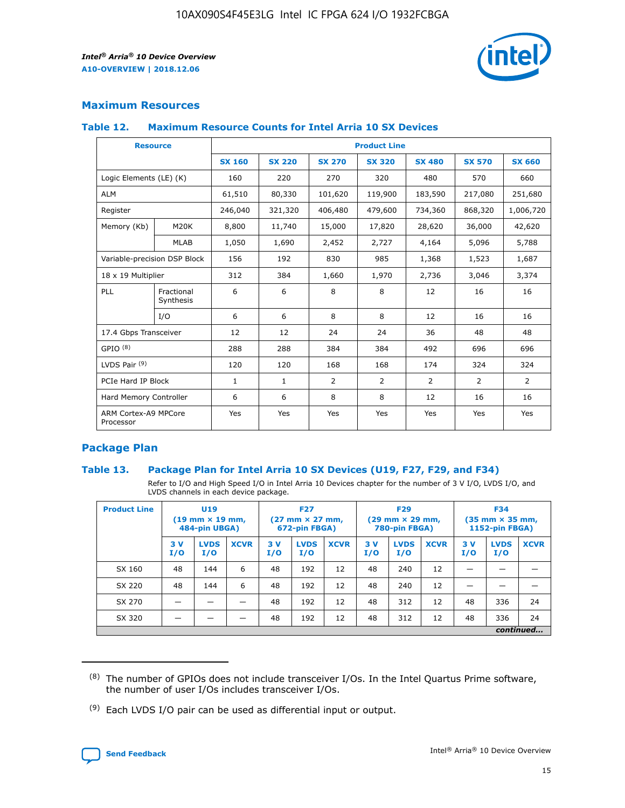

# **Maximum Resources**

#### **Table 12. Maximum Resource Counts for Intel Arria 10 SX Devices**

| <b>Resource</b>                   |                         | <b>Product Line</b> |               |               |                |               |               |               |  |  |  |
|-----------------------------------|-------------------------|---------------------|---------------|---------------|----------------|---------------|---------------|---------------|--|--|--|
|                                   |                         | <b>SX 160</b>       | <b>SX 220</b> | <b>SX 270</b> | <b>SX 320</b>  | <b>SX 480</b> | <b>SX 570</b> | <b>SX 660</b> |  |  |  |
| Logic Elements (LE) (K)           |                         | 160                 | 220           | 270           | 320            | 480           | 570           | 660           |  |  |  |
| <b>ALM</b>                        |                         | 61,510              | 80,330        | 101,620       | 119,900        | 183,590       | 217,080       | 251,680       |  |  |  |
| Register                          |                         | 246,040             | 321,320       | 406,480       | 479,600        | 734,360       | 868,320       | 1,006,720     |  |  |  |
| Memory (Kb)                       | M20K                    | 8,800               | 11,740        | 15,000        | 17,820         | 28,620        | 36,000        | 42,620        |  |  |  |
|                                   | <b>MLAB</b>             | 1,050               | 1,690         | 2,452         | 2,727          | 4,164         | 5,096         | 5,788         |  |  |  |
| Variable-precision DSP Block      |                         | 156                 | 192           | 830           | 985            | 1,368         | 1,523         | 1,687         |  |  |  |
| 18 x 19 Multiplier                |                         | 312                 | 384           | 1,660         | 1,970          | 2,736         | 3,046         | 3,374         |  |  |  |
| PLL                               | Fractional<br>Synthesis | 6                   | 6             | 8             | 8              | 12            | 16            | 16            |  |  |  |
|                                   | I/O                     | 6                   | 6             | 8             | 8              | 12            | 16            | 16            |  |  |  |
| 17.4 Gbps Transceiver             |                         | 12                  | 12            | 24            | 24             | 36            | 48            | 48            |  |  |  |
| GPIO <sup>(8)</sup>               |                         | 288                 | 288           | 384           | 384            | 492           | 696           | 696           |  |  |  |
| LVDS Pair $(9)$                   |                         | 120                 | 120           | 168           | 168            | 174           | 324           | 324           |  |  |  |
|                                   | PCIe Hard IP Block      |                     | $\mathbf{1}$  | 2             | $\overline{2}$ | 2             | 2             | 2             |  |  |  |
| Hard Memory Controller            |                         | 6                   | 6             | 8             | 8              | 12            | 16            | 16            |  |  |  |
| ARM Cortex-A9 MPCore<br>Processor |                         | Yes                 | Yes           | Yes           | Yes            | Yes           | Yes           | Yes           |  |  |  |

# **Package Plan**

#### **Table 13. Package Plan for Intel Arria 10 SX Devices (U19, F27, F29, and F34)**

Refer to I/O and High Speed I/O in Intel Arria 10 Devices chapter for the number of 3 V I/O, LVDS I/O, and LVDS channels in each device package.

| <b>Product Line</b> | <b>U19</b><br>$(19 \text{ mm} \times 19 \text{ mm})$<br>484-pin UBGA) |                    |             | <b>F27</b><br>$(27 \text{ mm} \times 27 \text{ mm})$<br>672-pin FBGA) |                    | <b>F29</b><br>$(29 \text{ mm} \times 29 \text{ mm})$<br>780-pin FBGA) |           |                    | <b>F34</b><br>$(35 \text{ mm} \times 35 \text{ mm})$<br><b>1152-pin FBGA)</b> |           |                    |             |
|---------------------|-----------------------------------------------------------------------|--------------------|-------------|-----------------------------------------------------------------------|--------------------|-----------------------------------------------------------------------|-----------|--------------------|-------------------------------------------------------------------------------|-----------|--------------------|-------------|
|                     | 3V<br>I/O                                                             | <b>LVDS</b><br>I/O | <b>XCVR</b> | 3V<br>I/O                                                             | <b>LVDS</b><br>I/O | <b>XCVR</b>                                                           | 3V<br>I/O | <b>LVDS</b><br>I/O | <b>XCVR</b>                                                                   | 3V<br>I/O | <b>LVDS</b><br>I/O | <b>XCVR</b> |
| SX 160              | 48                                                                    | 144                | 6           | 48                                                                    | 192                | 12                                                                    | 48        | 240                | 12                                                                            | -         |                    |             |
| SX 220              | 48                                                                    | 144                | 6           | 48                                                                    | 192                | 12                                                                    | 48        | 240                | 12                                                                            |           |                    |             |
| SX 270              |                                                                       |                    |             | 48                                                                    | 192                | 12                                                                    | 48        | 312                | 12                                                                            | 48        | 336                | 24          |
| SX 320              |                                                                       |                    |             | 48                                                                    | 192                | 12                                                                    | 48        | 312                | 12                                                                            | 48        | 336                | 24          |
|                     | continued                                                             |                    |             |                                                                       |                    |                                                                       |           |                    |                                                                               |           |                    |             |

 $(8)$  The number of GPIOs does not include transceiver I/Os. In the Intel Quartus Prime software, the number of user I/Os includes transceiver I/Os.

 $(9)$  Each LVDS I/O pair can be used as differential input or output.

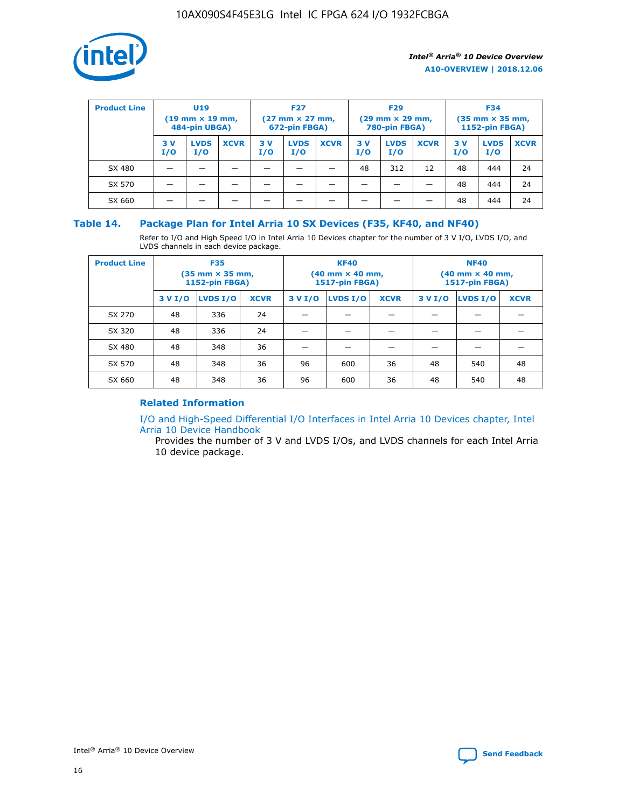

| <b>Product Line</b> | U <sub>19</sub><br>$(19 \text{ mm} \times 19 \text{ mm})$<br>484-pin UBGA) |                    | <b>F27</b><br>$(27 \text{ mm} \times 27 \text{ mm})$<br>672-pin FBGA) |           | <b>F29</b><br>$(29$ mm $\times$ 29 mm,<br>780-pin FBGA) |             |           | <b>F34</b><br>$(35$ mm $\times$ 35 mm,<br><b>1152-pin FBGA)</b> |             |            |                    |             |
|---------------------|----------------------------------------------------------------------------|--------------------|-----------------------------------------------------------------------|-----------|---------------------------------------------------------|-------------|-----------|-----------------------------------------------------------------|-------------|------------|--------------------|-------------|
|                     | 3 V<br>I/O                                                                 | <b>LVDS</b><br>I/O | <b>XCVR</b>                                                           | 3V<br>I/O | <b>LVDS</b><br>I/O                                      | <b>XCVR</b> | 3V<br>I/O | <b>LVDS</b><br>I/O                                              | <b>XCVR</b> | 3 V<br>I/O | <b>LVDS</b><br>I/O | <b>XCVR</b> |
| SX 480              |                                                                            |                    |                                                                       |           |                                                         |             | 48        | 312                                                             | 12          | 48         | 444                | 24          |
| SX 570              |                                                                            |                    |                                                                       |           |                                                         |             |           |                                                                 |             | 48         | 444                | 24          |
| SX 660              |                                                                            |                    |                                                                       |           |                                                         |             |           |                                                                 |             | 48         | 444                | 24          |

## **Table 14. Package Plan for Intel Arria 10 SX Devices (F35, KF40, and NF40)**

Refer to I/O and High Speed I/O in Intel Arria 10 Devices chapter for the number of 3 V I/O, LVDS I/O, and LVDS channels in each device package.

| <b>Product Line</b> | <b>F35</b><br>$(35 \text{ mm} \times 35 \text{ mm})$<br><b>1152-pin FBGA)</b> |          |             |                                           | <b>KF40</b><br>(40 mm × 40 mm,<br>1517-pin FBGA) |    | <b>NF40</b><br>$(40 \text{ mm} \times 40 \text{ mm})$<br>1517-pin FBGA) |          |             |  |
|---------------------|-------------------------------------------------------------------------------|----------|-------------|-------------------------------------------|--------------------------------------------------|----|-------------------------------------------------------------------------|----------|-------------|--|
|                     | 3 V I/O                                                                       | LVDS I/O | <b>XCVR</b> | <b>LVDS I/O</b><br><b>XCVR</b><br>3 V I/O |                                                  |    | 3 V I/O                                                                 | LVDS I/O | <b>XCVR</b> |  |
| SX 270              | 48                                                                            | 336      | 24          |                                           |                                                  |    |                                                                         |          |             |  |
| SX 320              | 48                                                                            | 336      | 24          |                                           |                                                  |    |                                                                         |          |             |  |
| SX 480              | 48                                                                            | 348      | 36          |                                           |                                                  |    |                                                                         |          |             |  |
| SX 570              | 48                                                                            | 348      | 36          | 96                                        | 600                                              | 36 | 48                                                                      | 540      | 48          |  |
| SX 660              | 48                                                                            | 348      | 36          | 96                                        | 600                                              | 36 | 48                                                                      | 540      | 48          |  |

# **Related Information**

[I/O and High-Speed Differential I/O Interfaces in Intel Arria 10 Devices chapter, Intel](https://www.intel.com/content/www/us/en/programmable/documentation/sam1403482614086.html#sam1403482030321) [Arria 10 Device Handbook](https://www.intel.com/content/www/us/en/programmable/documentation/sam1403482614086.html#sam1403482030321)

Provides the number of 3 V and LVDS I/Os, and LVDS channels for each Intel Arria 10 device package.

Intel<sup>®</sup> Arria<sup>®</sup> 10 Device Overview **[Send Feedback](mailto:FPGAtechdocfeedback@intel.com?subject=Feedback%20on%20Intel%20Arria%2010%20Device%20Overview%20(A10-OVERVIEW%202018.12.06)&body=We%20appreciate%20your%20feedback.%20In%20your%20comments,%20also%20specify%20the%20page%20number%20or%20paragraph.%20Thank%20you.)** Send Feedback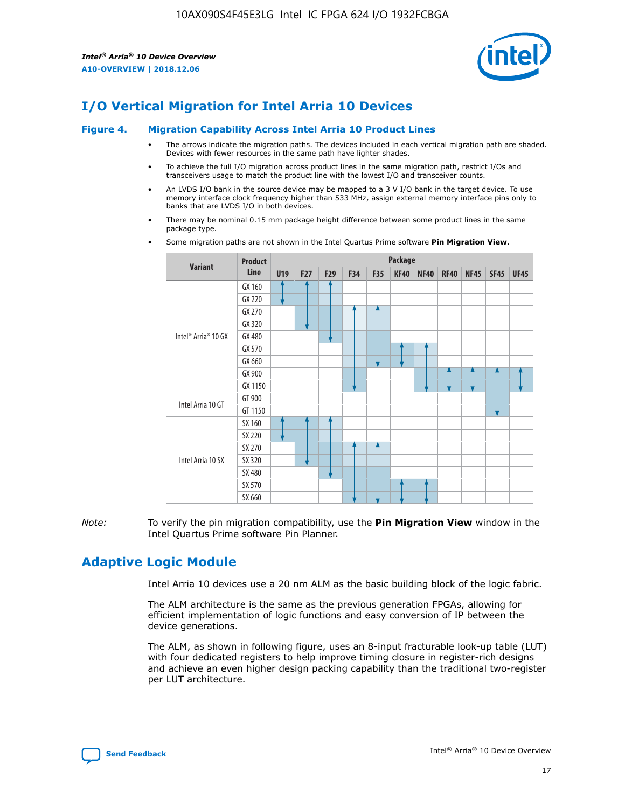

# **I/O Vertical Migration for Intel Arria 10 Devices**

#### **Figure 4. Migration Capability Across Intel Arria 10 Product Lines**

- The arrows indicate the migration paths. The devices included in each vertical migration path are shaded. Devices with fewer resources in the same path have lighter shades.
- To achieve the full I/O migration across product lines in the same migration path, restrict I/Os and transceivers usage to match the product line with the lowest I/O and transceiver counts.
- An LVDS I/O bank in the source device may be mapped to a 3 V I/O bank in the target device. To use memory interface clock frequency higher than 533 MHz, assign external memory interface pins only to banks that are LVDS I/O in both devices.
- There may be nominal 0.15 mm package height difference between some product lines in the same package type.
	- **Variant Product Line Package U19 F27 F29 F34 F35 KF40 NF40 RF40 NF45 SF45 UF45** Intel® Arria® 10 GX GX 160 GX 220 GX 270 GX 320 GX 480 GX 570 GX 660 GX 900 GX 1150 Intel Arria 10 GT GT 900 GT 1150 Intel Arria 10 SX SX 160 SX 220 SX 270 SX 320 SX 480 SX 570 SX 660
- Some migration paths are not shown in the Intel Quartus Prime software **Pin Migration View**.

*Note:* To verify the pin migration compatibility, use the **Pin Migration View** window in the Intel Quartus Prime software Pin Planner.

# **Adaptive Logic Module**

Intel Arria 10 devices use a 20 nm ALM as the basic building block of the logic fabric.

The ALM architecture is the same as the previous generation FPGAs, allowing for efficient implementation of logic functions and easy conversion of IP between the device generations.

The ALM, as shown in following figure, uses an 8-input fracturable look-up table (LUT) with four dedicated registers to help improve timing closure in register-rich designs and achieve an even higher design packing capability than the traditional two-register per LUT architecture.

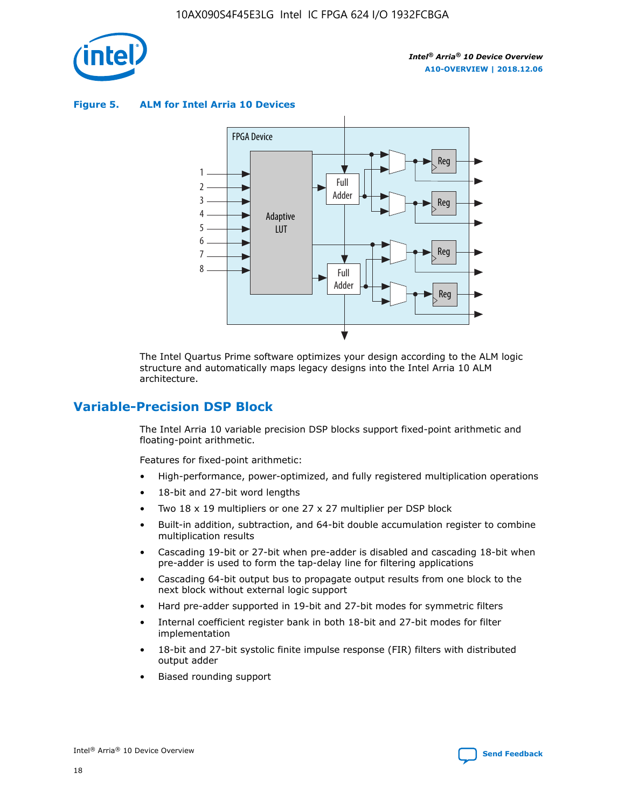

**Figure 5. ALM for Intel Arria 10 Devices**



The Intel Quartus Prime software optimizes your design according to the ALM logic structure and automatically maps legacy designs into the Intel Arria 10 ALM architecture.

# **Variable-Precision DSP Block**

The Intel Arria 10 variable precision DSP blocks support fixed-point arithmetic and floating-point arithmetic.

Features for fixed-point arithmetic:

- High-performance, power-optimized, and fully registered multiplication operations
- 18-bit and 27-bit word lengths
- Two 18 x 19 multipliers or one 27 x 27 multiplier per DSP block
- Built-in addition, subtraction, and 64-bit double accumulation register to combine multiplication results
- Cascading 19-bit or 27-bit when pre-adder is disabled and cascading 18-bit when pre-adder is used to form the tap-delay line for filtering applications
- Cascading 64-bit output bus to propagate output results from one block to the next block without external logic support
- Hard pre-adder supported in 19-bit and 27-bit modes for symmetric filters
- Internal coefficient register bank in both 18-bit and 27-bit modes for filter implementation
- 18-bit and 27-bit systolic finite impulse response (FIR) filters with distributed output adder
- Biased rounding support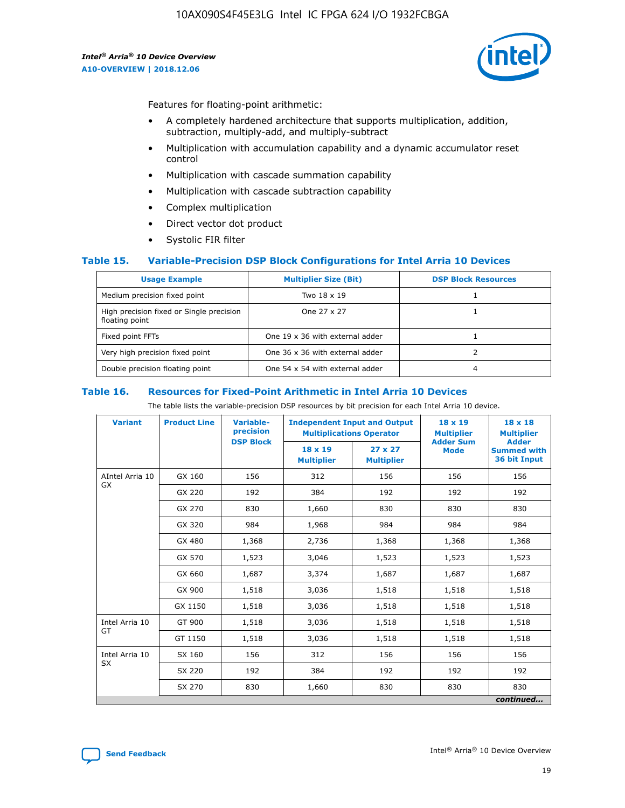

Features for floating-point arithmetic:

- A completely hardened architecture that supports multiplication, addition, subtraction, multiply-add, and multiply-subtract
- Multiplication with accumulation capability and a dynamic accumulator reset control
- Multiplication with cascade summation capability
- Multiplication with cascade subtraction capability
- Complex multiplication
- Direct vector dot product
- Systolic FIR filter

#### **Table 15. Variable-Precision DSP Block Configurations for Intel Arria 10 Devices**

| <b>Usage Example</b>                                       | <b>Multiplier Size (Bit)</b>    | <b>DSP Block Resources</b> |
|------------------------------------------------------------|---------------------------------|----------------------------|
| Medium precision fixed point                               | Two 18 x 19                     |                            |
| High precision fixed or Single precision<br>floating point | One 27 x 27                     |                            |
| Fixed point FFTs                                           | One 19 x 36 with external adder |                            |
| Very high precision fixed point                            | One 36 x 36 with external adder |                            |
| Double precision floating point                            | One 54 x 54 with external adder | 4                          |

#### **Table 16. Resources for Fixed-Point Arithmetic in Intel Arria 10 Devices**

The table lists the variable-precision DSP resources by bit precision for each Intel Arria 10 device.

| <b>Variant</b>        | <b>Product Line</b> | <b>Variable-</b><br>precision<br><b>DSP Block</b> | <b>Independent Input and Output</b><br><b>Multiplications Operator</b> |                                     | 18 x 19<br><b>Multiplier</b><br><b>Adder Sum</b> | $18 \times 18$<br><b>Multiplier</b><br><b>Adder</b> |
|-----------------------|---------------------|---------------------------------------------------|------------------------------------------------------------------------|-------------------------------------|--------------------------------------------------|-----------------------------------------------------|
|                       |                     |                                                   | 18 x 19<br><b>Multiplier</b>                                           | $27 \times 27$<br><b>Multiplier</b> | <b>Mode</b>                                      | <b>Summed with</b><br>36 bit Input                  |
| AIntel Arria 10<br>GX | GX 160              | 156                                               | 312                                                                    | 156                                 | 156                                              | 156                                                 |
|                       | GX 220              | 192                                               | 384                                                                    | 192                                 | 192                                              | 192                                                 |
|                       | GX 270              | 830                                               | 1,660                                                                  | 830                                 | 830                                              | 830                                                 |
|                       | GX 320              | 984                                               | 1,968                                                                  | 984                                 | 984                                              | 984                                                 |
|                       | GX 480              | 1,368                                             | 2,736                                                                  | 1,368                               | 1,368                                            | 1,368                                               |
|                       | GX 570              | 1,523                                             | 3,046                                                                  | 1,523                               | 1,523                                            | 1,523                                               |
|                       | GX 660              | 1,687                                             | 3,374                                                                  | 1,687                               | 1,687                                            | 1,687                                               |
|                       | GX 900              | 1,518                                             | 3,036                                                                  | 1,518                               | 1,518                                            | 1,518                                               |
|                       | GX 1150             | 1,518                                             | 3,036                                                                  | 1,518                               | 1,518                                            | 1,518                                               |
| Intel Arria 10        | GT 900              | 1,518                                             | 3,036                                                                  | 1,518                               | 1,518                                            | 1,518                                               |
| GT                    | GT 1150             | 1,518                                             | 3,036                                                                  | 1,518                               | 1,518                                            | 1,518                                               |
| Intel Arria 10        | SX 160              | 156                                               | 312                                                                    | 156                                 | 156                                              | 156                                                 |
| <b>SX</b>             | SX 220              | 192                                               | 384                                                                    | 192                                 | 192                                              | 192                                                 |
|                       | SX 270              | 830                                               | 1,660                                                                  | 830                                 | 830                                              | 830                                                 |
|                       |                     |                                                   |                                                                        |                                     |                                                  | continued                                           |

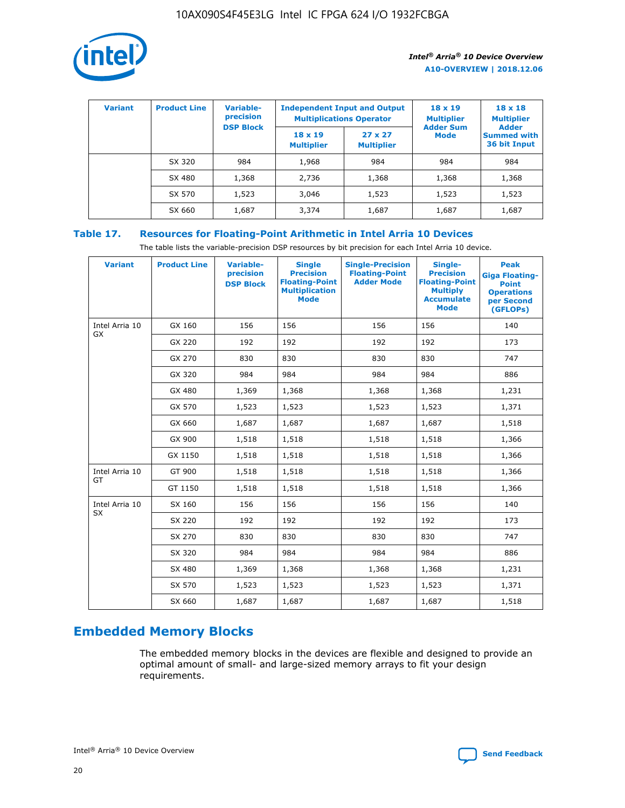

| <b>Variant</b> | <b>Product Line</b> | <b>Variable-</b><br>precision<br><b>DSP Block</b> | <b>Independent Input and Output</b><br><b>Multiplications Operator</b> |                                     | $18 \times 19$<br><b>Multiplier</b><br><b>Adder Sum</b> | $18 \times 18$<br><b>Multiplier</b><br><b>Adder</b> |  |
|----------------|---------------------|---------------------------------------------------|------------------------------------------------------------------------|-------------------------------------|---------------------------------------------------------|-----------------------------------------------------|--|
|                |                     |                                                   | $18 \times 19$<br><b>Multiplier</b>                                    | $27 \times 27$<br><b>Multiplier</b> | <b>Mode</b>                                             | <b>Summed with</b><br>36 bit Input                  |  |
|                | SX 320              | 984                                               | 1,968                                                                  | 984                                 | 984                                                     | 984                                                 |  |
|                | SX 480              | 1,368                                             | 2,736                                                                  | 1,368                               | 1,368                                                   | 1,368                                               |  |
|                | SX 570              | 1,523                                             | 3,046                                                                  | 1,523                               | 1,523                                                   | 1,523                                               |  |
|                | SX 660              | 1,687                                             | 3,374                                                                  | 1,687                               | 1,687                                                   | 1,687                                               |  |

# **Table 17. Resources for Floating-Point Arithmetic in Intel Arria 10 Devices**

The table lists the variable-precision DSP resources by bit precision for each Intel Arria 10 device.

| <b>Variant</b> | <b>Product Line</b> | <b>Variable-</b><br>precision<br><b>DSP Block</b> | <b>Single</b><br><b>Precision</b><br><b>Floating-Point</b><br><b>Multiplication</b><br><b>Mode</b> | <b>Single-Precision</b><br><b>Floating-Point</b><br><b>Adder Mode</b> | Single-<br><b>Precision</b><br><b>Floating-Point</b><br><b>Multiply</b><br><b>Accumulate</b><br><b>Mode</b> | <b>Peak</b><br><b>Giga Floating-</b><br><b>Point</b><br><b>Operations</b><br>per Second<br>(GFLOPs) |
|----------------|---------------------|---------------------------------------------------|----------------------------------------------------------------------------------------------------|-----------------------------------------------------------------------|-------------------------------------------------------------------------------------------------------------|-----------------------------------------------------------------------------------------------------|
| Intel Arria 10 | GX 160              | 156                                               | 156                                                                                                | 156                                                                   | 156                                                                                                         | 140                                                                                                 |
| GX             | GX 220              | 192                                               | 192                                                                                                | 192                                                                   | 192                                                                                                         | 173                                                                                                 |
|                | GX 270              | 830                                               | 830                                                                                                | 830                                                                   | 830                                                                                                         | 747                                                                                                 |
|                | GX 320              | 984                                               | 984                                                                                                | 984                                                                   | 984                                                                                                         | 886                                                                                                 |
|                | GX 480              | 1,369                                             | 1,368                                                                                              | 1,368                                                                 | 1,368                                                                                                       | 1,231                                                                                               |
|                | GX 570              | 1,523                                             | 1,523                                                                                              | 1,523                                                                 | 1,523                                                                                                       | 1,371                                                                                               |
|                | GX 660              | 1,687                                             | 1,687                                                                                              | 1,687                                                                 | 1,687                                                                                                       | 1,518                                                                                               |
|                | GX 900              | 1,518                                             | 1,518                                                                                              | 1,518                                                                 | 1,518                                                                                                       | 1,366                                                                                               |
|                | GX 1150             | 1,518                                             | 1,518                                                                                              | 1,518                                                                 | 1,518                                                                                                       | 1,366                                                                                               |
| Intel Arria 10 | GT 900              | 1,518                                             | 1,518                                                                                              | 1,518                                                                 | 1,518                                                                                                       | 1,366                                                                                               |
| GT             | GT 1150             | 1,518                                             | 1,518                                                                                              | 1,518                                                                 | 1,518                                                                                                       | 1,366                                                                                               |
| Intel Arria 10 | SX 160              | 156                                               | 156                                                                                                | 156                                                                   | 156                                                                                                         | 140                                                                                                 |
| <b>SX</b>      | SX 220              | 192                                               | 192                                                                                                | 192                                                                   | 192                                                                                                         | 173                                                                                                 |
|                | SX 270              | 830                                               | 830                                                                                                | 830                                                                   | 830                                                                                                         | 747                                                                                                 |
|                | SX 320              | 984                                               | 984                                                                                                | 984                                                                   | 984                                                                                                         | 886                                                                                                 |
|                | SX 480              | 1,369                                             | 1,368                                                                                              | 1,368                                                                 | 1,368                                                                                                       | 1,231                                                                                               |
|                | SX 570              | 1,523                                             | 1,523                                                                                              | 1,523                                                                 | 1,523                                                                                                       | 1,371                                                                                               |
|                | SX 660              | 1,687                                             | 1,687                                                                                              | 1,687                                                                 | 1,687                                                                                                       | 1,518                                                                                               |

# **Embedded Memory Blocks**

The embedded memory blocks in the devices are flexible and designed to provide an optimal amount of small- and large-sized memory arrays to fit your design requirements.

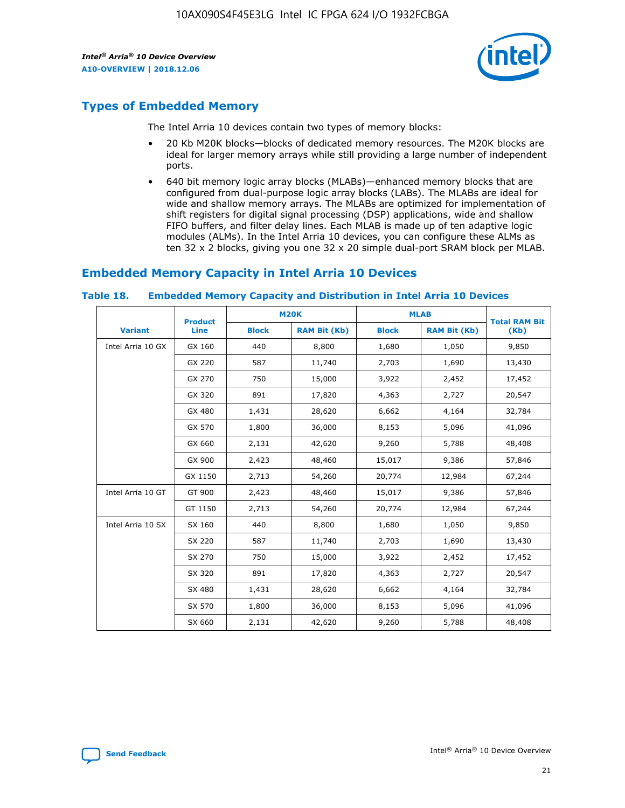

# **Types of Embedded Memory**

The Intel Arria 10 devices contain two types of memory blocks:

- 20 Kb M20K blocks—blocks of dedicated memory resources. The M20K blocks are ideal for larger memory arrays while still providing a large number of independent ports.
- 640 bit memory logic array blocks (MLABs)—enhanced memory blocks that are configured from dual-purpose logic array blocks (LABs). The MLABs are ideal for wide and shallow memory arrays. The MLABs are optimized for implementation of shift registers for digital signal processing (DSP) applications, wide and shallow FIFO buffers, and filter delay lines. Each MLAB is made up of ten adaptive logic modules (ALMs). In the Intel Arria 10 devices, you can configure these ALMs as ten 32 x 2 blocks, giving you one 32 x 20 simple dual-port SRAM block per MLAB.

# **Embedded Memory Capacity in Intel Arria 10 Devices**

|                   | <b>Product</b> |              | <b>M20K</b>         | <b>MLAB</b>  |                     | <b>Total RAM Bit</b> |
|-------------------|----------------|--------------|---------------------|--------------|---------------------|----------------------|
| <b>Variant</b>    | Line           | <b>Block</b> | <b>RAM Bit (Kb)</b> | <b>Block</b> | <b>RAM Bit (Kb)</b> | (Kb)                 |
| Intel Arria 10 GX | GX 160         | 440          | 8,800               | 1,680        | 1,050               | 9,850                |
|                   | GX 220         | 587          | 11,740              | 2,703        | 1,690               | 13,430               |
|                   | GX 270         | 750          | 15,000              | 3,922        | 2,452               | 17,452               |
|                   | GX 320         | 891          | 17,820              | 4,363        | 2,727               | 20,547               |
|                   | GX 480         | 1,431        | 28,620              | 6,662        | 4,164               | 32,784               |
|                   | GX 570         | 1,800        | 36,000              | 8,153        | 5,096               | 41,096               |
|                   | GX 660         | 2,131        | 42,620              | 9,260        | 5,788               | 48,408               |
|                   | GX 900         | 2,423        | 48,460              | 15,017       | 9,386               | 57,846               |
|                   | GX 1150        | 2,713        | 54,260              | 20,774       | 12,984              | 67,244               |
| Intel Arria 10 GT | GT 900         | 2,423        | 48,460              | 15,017       | 9,386               | 57,846               |
|                   | GT 1150        | 2,713        | 54,260              | 20,774       | 12,984              | 67,244               |
| Intel Arria 10 SX | SX 160         | 440          | 8,800               | 1,680        | 1,050               | 9,850                |
|                   | SX 220         | 587          | 11,740              | 2,703        | 1,690               | 13,430               |
|                   | SX 270         | 750          | 15,000              | 3,922        | 2,452               | 17,452               |
|                   | SX 320         | 891          | 17,820              | 4,363        | 2,727               | 20,547               |
|                   | SX 480         | 1,431        | 28,620              | 6,662        | 4,164               | 32,784               |
|                   | SX 570         | 1,800        | 36,000              | 8,153        | 5,096               | 41,096               |
|                   | SX 660         | 2,131        | 42,620              | 9,260        | 5,788               | 48,408               |

#### **Table 18. Embedded Memory Capacity and Distribution in Intel Arria 10 Devices**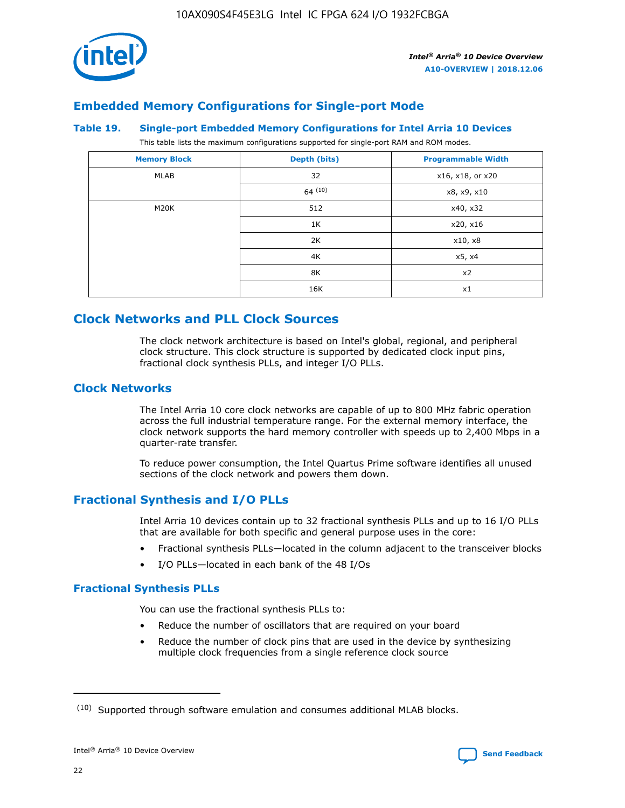

# **Embedded Memory Configurations for Single-port Mode**

#### **Table 19. Single-port Embedded Memory Configurations for Intel Arria 10 Devices**

This table lists the maximum configurations supported for single-port RAM and ROM modes.

| <b>Memory Block</b> | Depth (bits) | <b>Programmable Width</b> |
|---------------------|--------------|---------------------------|
| MLAB                | 32           | x16, x18, or x20          |
|                     | 64(10)       | x8, x9, x10               |
| M20K                | 512          | x40, x32                  |
|                     | 1K           | x20, x16                  |
|                     | 2K           | x10, x8                   |
|                     | 4K           | x5, x4                    |
|                     | 8K           | x2                        |
|                     | 16K          | x1                        |

# **Clock Networks and PLL Clock Sources**

The clock network architecture is based on Intel's global, regional, and peripheral clock structure. This clock structure is supported by dedicated clock input pins, fractional clock synthesis PLLs, and integer I/O PLLs.

# **Clock Networks**

The Intel Arria 10 core clock networks are capable of up to 800 MHz fabric operation across the full industrial temperature range. For the external memory interface, the clock network supports the hard memory controller with speeds up to 2,400 Mbps in a quarter-rate transfer.

To reduce power consumption, the Intel Quartus Prime software identifies all unused sections of the clock network and powers them down.

# **Fractional Synthesis and I/O PLLs**

Intel Arria 10 devices contain up to 32 fractional synthesis PLLs and up to 16 I/O PLLs that are available for both specific and general purpose uses in the core:

- Fractional synthesis PLLs—located in the column adjacent to the transceiver blocks
- I/O PLLs—located in each bank of the 48 I/Os

# **Fractional Synthesis PLLs**

You can use the fractional synthesis PLLs to:

- Reduce the number of oscillators that are required on your board
- Reduce the number of clock pins that are used in the device by synthesizing multiple clock frequencies from a single reference clock source

<sup>(10)</sup> Supported through software emulation and consumes additional MLAB blocks.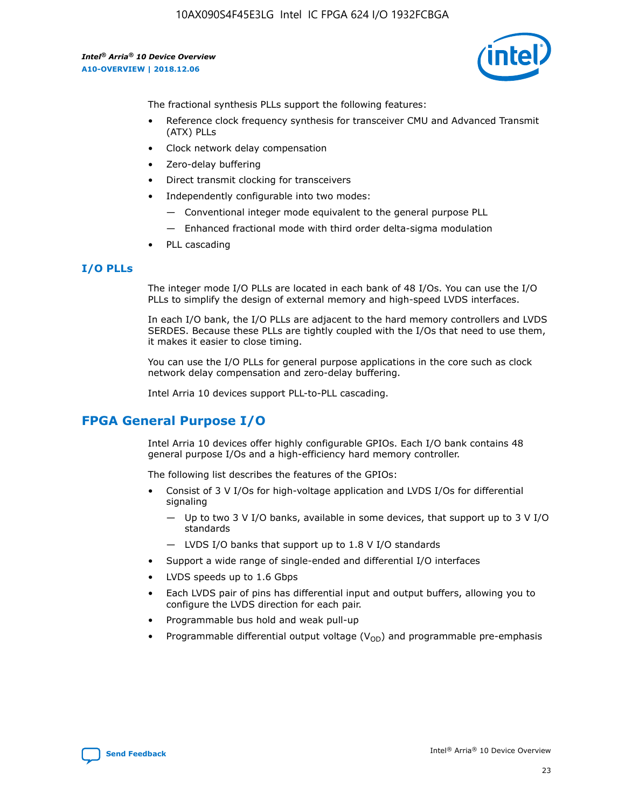

The fractional synthesis PLLs support the following features:

- Reference clock frequency synthesis for transceiver CMU and Advanced Transmit (ATX) PLLs
- Clock network delay compensation
- Zero-delay buffering
- Direct transmit clocking for transceivers
- Independently configurable into two modes:
	- Conventional integer mode equivalent to the general purpose PLL
	- Enhanced fractional mode with third order delta-sigma modulation
- PLL cascading

#### **I/O PLLs**

The integer mode I/O PLLs are located in each bank of 48 I/Os. You can use the I/O PLLs to simplify the design of external memory and high-speed LVDS interfaces.

In each I/O bank, the I/O PLLs are adjacent to the hard memory controllers and LVDS SERDES. Because these PLLs are tightly coupled with the I/Os that need to use them, it makes it easier to close timing.

You can use the I/O PLLs for general purpose applications in the core such as clock network delay compensation and zero-delay buffering.

Intel Arria 10 devices support PLL-to-PLL cascading.

# **FPGA General Purpose I/O**

Intel Arria 10 devices offer highly configurable GPIOs. Each I/O bank contains 48 general purpose I/Os and a high-efficiency hard memory controller.

The following list describes the features of the GPIOs:

- Consist of 3 V I/Os for high-voltage application and LVDS I/Os for differential signaling
	- Up to two 3 V I/O banks, available in some devices, that support up to 3 V I/O standards
	- LVDS I/O banks that support up to 1.8 V I/O standards
- Support a wide range of single-ended and differential I/O interfaces
- LVDS speeds up to 1.6 Gbps
- Each LVDS pair of pins has differential input and output buffers, allowing you to configure the LVDS direction for each pair.
- Programmable bus hold and weak pull-up
- Programmable differential output voltage  $(V_{OD})$  and programmable pre-emphasis

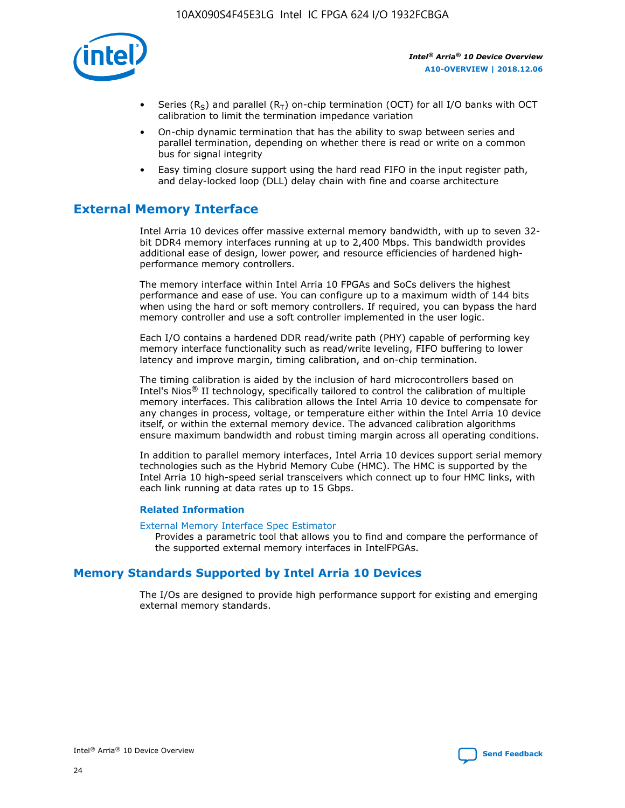

- Series (R<sub>S</sub>) and parallel (R<sub>T</sub>) on-chip termination (OCT) for all I/O banks with OCT calibration to limit the termination impedance variation
- On-chip dynamic termination that has the ability to swap between series and parallel termination, depending on whether there is read or write on a common bus for signal integrity
- Easy timing closure support using the hard read FIFO in the input register path, and delay-locked loop (DLL) delay chain with fine and coarse architecture

# **External Memory Interface**

Intel Arria 10 devices offer massive external memory bandwidth, with up to seven 32 bit DDR4 memory interfaces running at up to 2,400 Mbps. This bandwidth provides additional ease of design, lower power, and resource efficiencies of hardened highperformance memory controllers.

The memory interface within Intel Arria 10 FPGAs and SoCs delivers the highest performance and ease of use. You can configure up to a maximum width of 144 bits when using the hard or soft memory controllers. If required, you can bypass the hard memory controller and use a soft controller implemented in the user logic.

Each I/O contains a hardened DDR read/write path (PHY) capable of performing key memory interface functionality such as read/write leveling, FIFO buffering to lower latency and improve margin, timing calibration, and on-chip termination.

The timing calibration is aided by the inclusion of hard microcontrollers based on Intel's Nios® II technology, specifically tailored to control the calibration of multiple memory interfaces. This calibration allows the Intel Arria 10 device to compensate for any changes in process, voltage, or temperature either within the Intel Arria 10 device itself, or within the external memory device. The advanced calibration algorithms ensure maximum bandwidth and robust timing margin across all operating conditions.

In addition to parallel memory interfaces, Intel Arria 10 devices support serial memory technologies such as the Hybrid Memory Cube (HMC). The HMC is supported by the Intel Arria 10 high-speed serial transceivers which connect up to four HMC links, with each link running at data rates up to 15 Gbps.

#### **Related Information**

#### [External Memory Interface Spec Estimator](http://www.altera.com/technology/memory/estimator/mem-emif-index.html)

Provides a parametric tool that allows you to find and compare the performance of the supported external memory interfaces in IntelFPGAs.

# **Memory Standards Supported by Intel Arria 10 Devices**

The I/Os are designed to provide high performance support for existing and emerging external memory standards.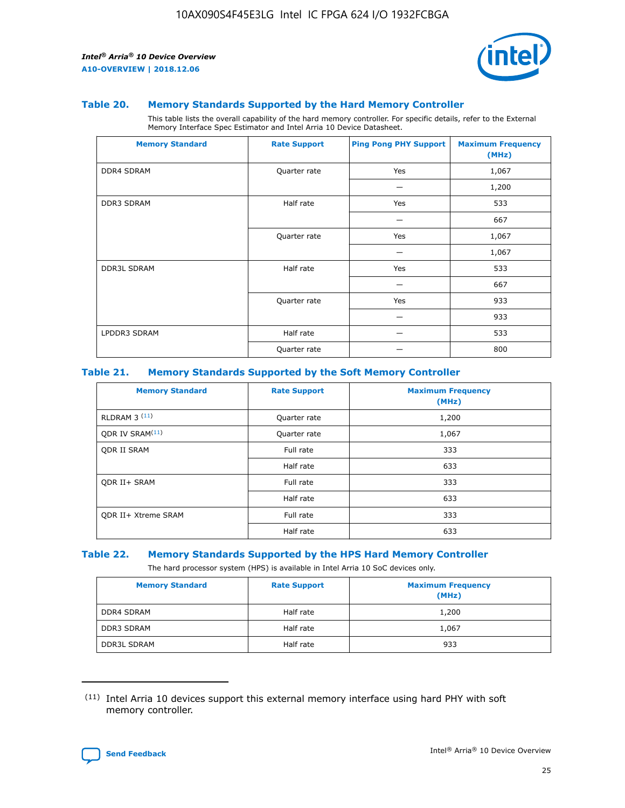

#### **Table 20. Memory Standards Supported by the Hard Memory Controller**

This table lists the overall capability of the hard memory controller. For specific details, refer to the External Memory Interface Spec Estimator and Intel Arria 10 Device Datasheet.

| <b>Memory Standard</b> | <b>Rate Support</b> | <b>Ping Pong PHY Support</b> | <b>Maximum Frequency</b><br>(MHz) |
|------------------------|---------------------|------------------------------|-----------------------------------|
| <b>DDR4 SDRAM</b>      | Quarter rate        | Yes                          | 1,067                             |
|                        |                     |                              | 1,200                             |
| DDR3 SDRAM             | Half rate           | Yes                          | 533                               |
|                        |                     |                              | 667                               |
|                        | Quarter rate        | Yes                          | 1,067                             |
|                        |                     |                              | 1,067                             |
| <b>DDR3L SDRAM</b>     | Half rate           | Yes                          | 533                               |
|                        |                     |                              | 667                               |
|                        | Quarter rate        | Yes                          | 933                               |
|                        |                     |                              | 933                               |
| LPDDR3 SDRAM           | Half rate           |                              | 533                               |
|                        | Quarter rate        |                              | 800                               |

#### **Table 21. Memory Standards Supported by the Soft Memory Controller**

| <b>Memory Standard</b>      | <b>Rate Support</b> | <b>Maximum Frequency</b><br>(MHz) |
|-----------------------------|---------------------|-----------------------------------|
| <b>RLDRAM 3 (11)</b>        | Quarter rate        | 1,200                             |
| ODR IV SRAM <sup>(11)</sup> | Quarter rate        | 1,067                             |
| <b>ODR II SRAM</b>          | Full rate           | 333                               |
|                             | Half rate           | 633                               |
| <b>ODR II+ SRAM</b>         | Full rate           | 333                               |
|                             | Half rate           | 633                               |
| <b>ODR II+ Xtreme SRAM</b>  | Full rate           | 333                               |
|                             | Half rate           | 633                               |

#### **Table 22. Memory Standards Supported by the HPS Hard Memory Controller**

The hard processor system (HPS) is available in Intel Arria 10 SoC devices only.

| <b>Memory Standard</b> | <b>Rate Support</b> | <b>Maximum Frequency</b><br>(MHz) |
|------------------------|---------------------|-----------------------------------|
| <b>DDR4 SDRAM</b>      | Half rate           | 1,200                             |
| <b>DDR3 SDRAM</b>      | Half rate           | 1,067                             |
| <b>DDR3L SDRAM</b>     | Half rate           | 933                               |

<sup>(11)</sup> Intel Arria 10 devices support this external memory interface using hard PHY with soft memory controller.

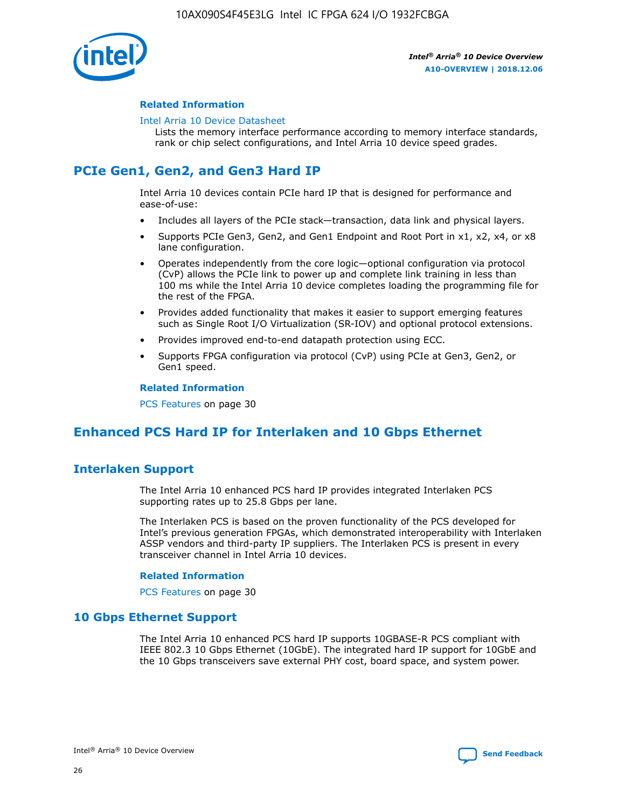

#### **Related Information**

#### [Intel Arria 10 Device Datasheet](https://www.intel.com/content/www/us/en/programmable/documentation/mcn1413182292568.html#mcn1413182153340)

Lists the memory interface performance according to memory interface standards, rank or chip select configurations, and Intel Arria 10 device speed grades.

# **PCIe Gen1, Gen2, and Gen3 Hard IP**

Intel Arria 10 devices contain PCIe hard IP that is designed for performance and ease-of-use:

- Includes all layers of the PCIe stack—transaction, data link and physical layers.
- Supports PCIe Gen3, Gen2, and Gen1 Endpoint and Root Port in x1, x2, x4, or x8 lane configuration.
- Operates independently from the core logic—optional configuration via protocol (CvP) allows the PCIe link to power up and complete link training in less than 100 ms while the Intel Arria 10 device completes loading the programming file for the rest of the FPGA.
- Provides added functionality that makes it easier to support emerging features such as Single Root I/O Virtualization (SR-IOV) and optional protocol extensions.
- Provides improved end-to-end datapath protection using ECC.
- Supports FPGA configuration via protocol (CvP) using PCIe at Gen3, Gen2, or Gen1 speed.

#### **Related Information**

PCS Features on page 30

# **Enhanced PCS Hard IP for Interlaken and 10 Gbps Ethernet**

# **Interlaken Support**

The Intel Arria 10 enhanced PCS hard IP provides integrated Interlaken PCS supporting rates up to 25.8 Gbps per lane.

The Interlaken PCS is based on the proven functionality of the PCS developed for Intel's previous generation FPGAs, which demonstrated interoperability with Interlaken ASSP vendors and third-party IP suppliers. The Interlaken PCS is present in every transceiver channel in Intel Arria 10 devices.

#### **Related Information**

PCS Features on page 30

# **10 Gbps Ethernet Support**

The Intel Arria 10 enhanced PCS hard IP supports 10GBASE-R PCS compliant with IEEE 802.3 10 Gbps Ethernet (10GbE). The integrated hard IP support for 10GbE and the 10 Gbps transceivers save external PHY cost, board space, and system power.

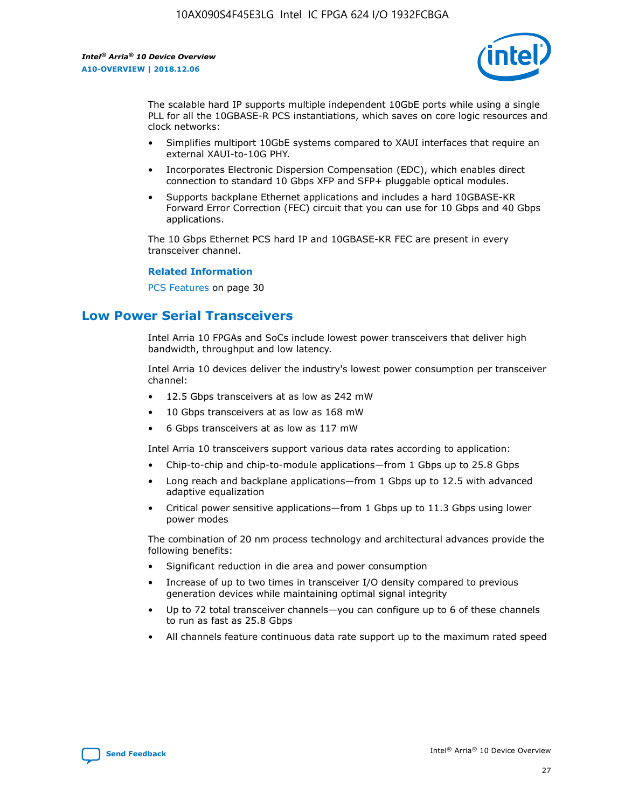

The scalable hard IP supports multiple independent 10GbE ports while using a single PLL for all the 10GBASE-R PCS instantiations, which saves on core logic resources and clock networks:

- Simplifies multiport 10GbE systems compared to XAUI interfaces that require an external XAUI-to-10G PHY.
- Incorporates Electronic Dispersion Compensation (EDC), which enables direct connection to standard 10 Gbps XFP and SFP+ pluggable optical modules.
- Supports backplane Ethernet applications and includes a hard 10GBASE-KR Forward Error Correction (FEC) circuit that you can use for 10 Gbps and 40 Gbps applications.

The 10 Gbps Ethernet PCS hard IP and 10GBASE-KR FEC are present in every transceiver channel.

#### **Related Information**

PCS Features on page 30

# **Low Power Serial Transceivers**

Intel Arria 10 FPGAs and SoCs include lowest power transceivers that deliver high bandwidth, throughput and low latency.

Intel Arria 10 devices deliver the industry's lowest power consumption per transceiver channel:

- 12.5 Gbps transceivers at as low as 242 mW
- 10 Gbps transceivers at as low as 168 mW
- 6 Gbps transceivers at as low as 117 mW

Intel Arria 10 transceivers support various data rates according to application:

- Chip-to-chip and chip-to-module applications—from 1 Gbps up to 25.8 Gbps
- Long reach and backplane applications—from 1 Gbps up to 12.5 with advanced adaptive equalization
- Critical power sensitive applications—from 1 Gbps up to 11.3 Gbps using lower power modes

The combination of 20 nm process technology and architectural advances provide the following benefits:

- Significant reduction in die area and power consumption
- Increase of up to two times in transceiver I/O density compared to previous generation devices while maintaining optimal signal integrity
- Up to 72 total transceiver channels—you can configure up to 6 of these channels to run as fast as 25.8 Gbps
- All channels feature continuous data rate support up to the maximum rated speed

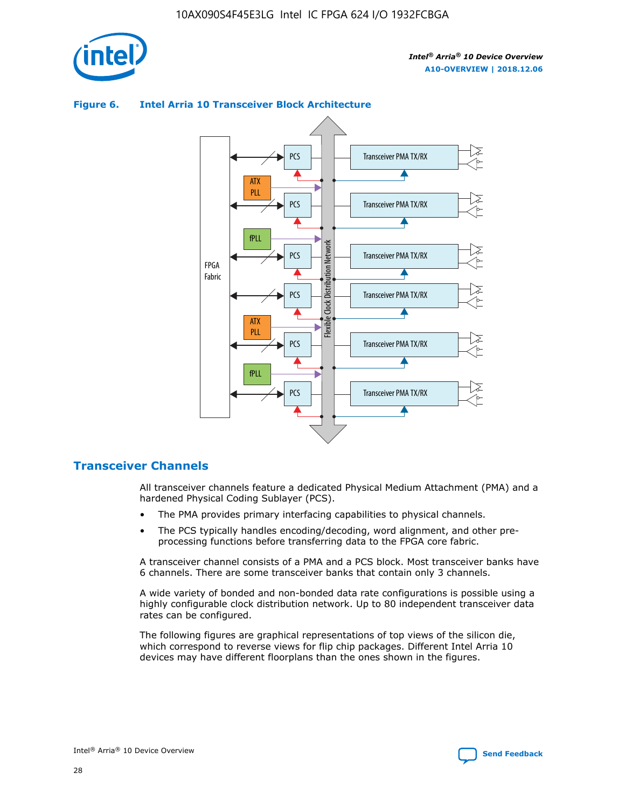



## **Figure 6. Intel Arria 10 Transceiver Block Architecture**

# **Transceiver Channels**

All transceiver channels feature a dedicated Physical Medium Attachment (PMA) and a hardened Physical Coding Sublayer (PCS).

- The PMA provides primary interfacing capabilities to physical channels.
- The PCS typically handles encoding/decoding, word alignment, and other preprocessing functions before transferring data to the FPGA core fabric.

A transceiver channel consists of a PMA and a PCS block. Most transceiver banks have 6 channels. There are some transceiver banks that contain only 3 channels.

A wide variety of bonded and non-bonded data rate configurations is possible using a highly configurable clock distribution network. Up to 80 independent transceiver data rates can be configured.

The following figures are graphical representations of top views of the silicon die, which correspond to reverse views for flip chip packages. Different Intel Arria 10 devices may have different floorplans than the ones shown in the figures.

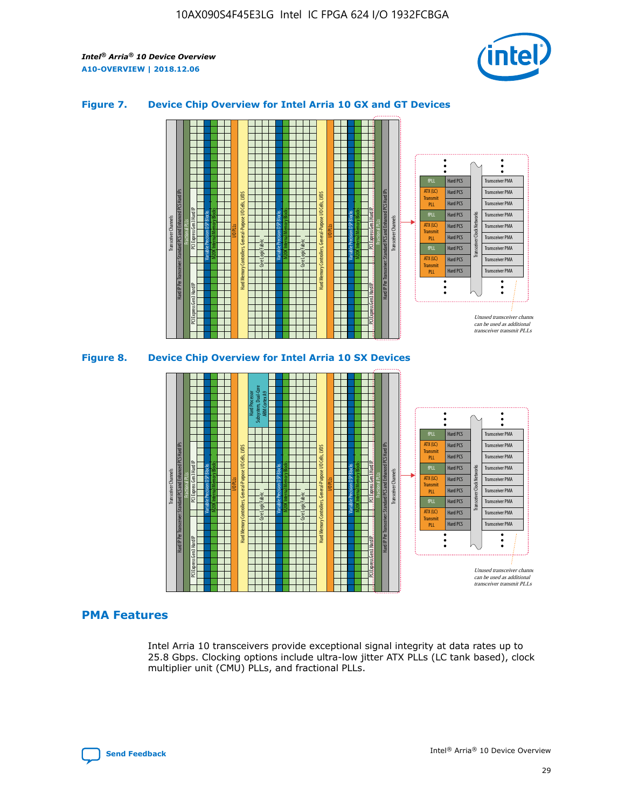

## **Figure 7. Device Chip Overview for Intel Arria 10 GX and GT Devices**



M20K Internal Memory Blocks Core Logic Fabric Transceiver Channels Hard IP Per Transceiver: Standard PCS and Enhanced PCS Hard IPs PCI Express Gen3 Hard IP Fractional PLLs M20K Internal Memory Blocks PCI Express Gen3 Hard IP Variable Precision DSP Blocks I/O PLLs Hard Memory Controllers, General-Purpose I/O Cells, LVDS Hard Processor Subsystem, Dual-Core ARM Cortex A9 M20K Internal Memory Blocks Variable Precision DSP Blocks M20K Internal Memory Blocks Core Logic Fabric I/O PLLs Hard Memory Controllers, General-Purpose I/O Cells, LVDS M20K Internal Memory Blocks Variable Precision DSP Blocks M20K Internal Memory Blocks Transceiver Channels Hard IP Per Transceiver: Standard PCS and Enhanced PCS Hard IPs PCI Express Gen3 Hard IP Fractional PLLs PCI Express Gen3 Hard IP  $\ddot{\cdot}$ Hard PCS Transceiver PMA fPLL ATX (LC) Hard PCS Transceiver PMA **Transmit** Hard PCS Transceiver PMA PLL fPLL Hard PCS Transceiver PMA Transceiver Clock Networks ATX (LC) Hard PCS Transceiver PMA Transmi Hard PCS Transceiver PMA PLL fPLL Hard PCS Transceiver PMA Transceiver PMA Hard PCS ATX (LC) **Transmit** Hard PCS Transceiver PMA PLL Unused transceiver chann can be used as additional transceiver transmit PLLs

### **PMA Features**

Intel Arria 10 transceivers provide exceptional signal integrity at data rates up to 25.8 Gbps. Clocking options include ultra-low jitter ATX PLLs (LC tank based), clock multiplier unit (CMU) PLLs, and fractional PLLs.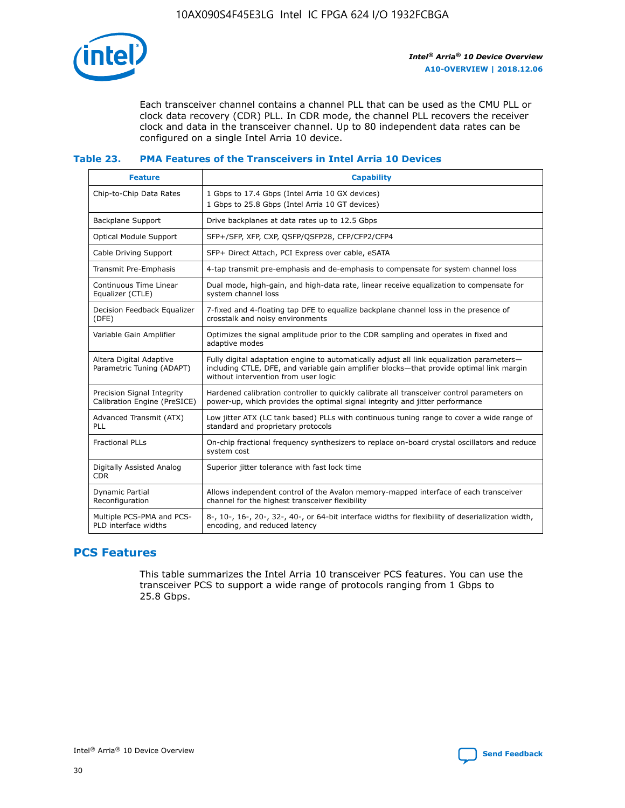

Each transceiver channel contains a channel PLL that can be used as the CMU PLL or clock data recovery (CDR) PLL. In CDR mode, the channel PLL recovers the receiver clock and data in the transceiver channel. Up to 80 independent data rates can be configured on a single Intel Arria 10 device.

## **Table 23. PMA Features of the Transceivers in Intel Arria 10 Devices**

| <b>Feature</b>                                             | <b>Capability</b>                                                                                                                                                                                                             |
|------------------------------------------------------------|-------------------------------------------------------------------------------------------------------------------------------------------------------------------------------------------------------------------------------|
| Chip-to-Chip Data Rates                                    | 1 Gbps to 17.4 Gbps (Intel Arria 10 GX devices)<br>1 Gbps to 25.8 Gbps (Intel Arria 10 GT devices)                                                                                                                            |
| <b>Backplane Support</b>                                   | Drive backplanes at data rates up to 12.5 Gbps                                                                                                                                                                                |
| <b>Optical Module Support</b>                              | SFP+/SFP, XFP, CXP, QSFP/QSFP28, CFP/CFP2/CFP4                                                                                                                                                                                |
| Cable Driving Support                                      | SFP+ Direct Attach, PCI Express over cable, eSATA                                                                                                                                                                             |
| Transmit Pre-Emphasis                                      | 4-tap transmit pre-emphasis and de-emphasis to compensate for system channel loss                                                                                                                                             |
| Continuous Time Linear<br>Equalizer (CTLE)                 | Dual mode, high-gain, and high-data rate, linear receive equalization to compensate for<br>system channel loss                                                                                                                |
| Decision Feedback Equalizer<br>(DFE)                       | 7-fixed and 4-floating tap DFE to equalize backplane channel loss in the presence of<br>crosstalk and noisy environments                                                                                                      |
| Variable Gain Amplifier                                    | Optimizes the signal amplitude prior to the CDR sampling and operates in fixed and<br>adaptive modes                                                                                                                          |
| Altera Digital Adaptive<br>Parametric Tuning (ADAPT)       | Fully digital adaptation engine to automatically adjust all link equalization parameters-<br>including CTLE, DFE, and variable gain amplifier blocks—that provide optimal link margin<br>without intervention from user logic |
| Precision Signal Integrity<br>Calibration Engine (PreSICE) | Hardened calibration controller to quickly calibrate all transceiver control parameters on<br>power-up, which provides the optimal signal integrity and jitter performance                                                    |
| Advanced Transmit (ATX)<br><b>PLL</b>                      | Low jitter ATX (LC tank based) PLLs with continuous tuning range to cover a wide range of<br>standard and proprietary protocols                                                                                               |
| <b>Fractional PLLs</b>                                     | On-chip fractional frequency synthesizers to replace on-board crystal oscillators and reduce<br>system cost                                                                                                                   |
| Digitally Assisted Analog<br><b>CDR</b>                    | Superior jitter tolerance with fast lock time                                                                                                                                                                                 |
| <b>Dynamic Partial</b><br>Reconfiguration                  | Allows independent control of the Avalon memory-mapped interface of each transceiver<br>channel for the highest transceiver flexibility                                                                                       |
| Multiple PCS-PMA and PCS-<br>PLD interface widths          | 8-, 10-, 16-, 20-, 32-, 40-, or 64-bit interface widths for flexibility of deserialization width,<br>encoding, and reduced latency                                                                                            |

# **PCS Features**

This table summarizes the Intel Arria 10 transceiver PCS features. You can use the transceiver PCS to support a wide range of protocols ranging from 1 Gbps to 25.8 Gbps.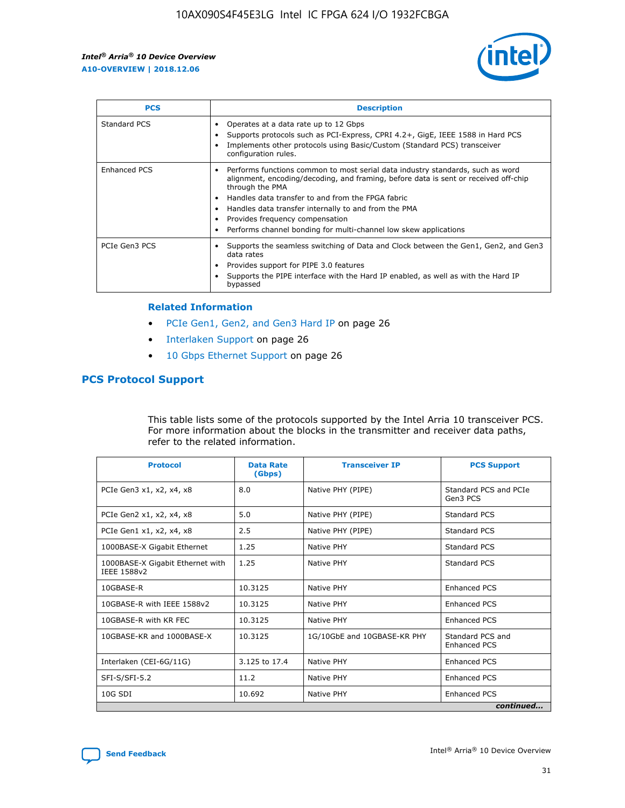

| <b>PCS</b>    | <b>Description</b>                                                                                                                                                                                                                                                                                                                                                                                             |
|---------------|----------------------------------------------------------------------------------------------------------------------------------------------------------------------------------------------------------------------------------------------------------------------------------------------------------------------------------------------------------------------------------------------------------------|
| Standard PCS  | Operates at a data rate up to 12 Gbps<br>Supports protocols such as PCI-Express, CPRI 4.2+, GigE, IEEE 1588 in Hard PCS<br>Implements other protocols using Basic/Custom (Standard PCS) transceiver<br>configuration rules.                                                                                                                                                                                    |
| Enhanced PCS  | Performs functions common to most serial data industry standards, such as word<br>alignment, encoding/decoding, and framing, before data is sent or received off-chip<br>through the PMA<br>• Handles data transfer to and from the FPGA fabric<br>Handles data transfer internally to and from the PMA<br>Provides frequency compensation<br>Performs channel bonding for multi-channel low skew applications |
| PCIe Gen3 PCS | Supports the seamless switching of Data and Clock between the Gen1, Gen2, and Gen3<br>data rates<br>Provides support for PIPE 3.0 features<br>Supports the PIPE interface with the Hard IP enabled, as well as with the Hard IP<br>bypassed                                                                                                                                                                    |

#### **Related Information**

- PCIe Gen1, Gen2, and Gen3 Hard IP on page 26
- Interlaken Support on page 26
- 10 Gbps Ethernet Support on page 26

# **PCS Protocol Support**

This table lists some of the protocols supported by the Intel Arria 10 transceiver PCS. For more information about the blocks in the transmitter and receiver data paths, refer to the related information.

| <b>Protocol</b>                                 | <b>Data Rate</b><br>(Gbps) | <b>Transceiver IP</b>       | <b>PCS Support</b>                      |
|-------------------------------------------------|----------------------------|-----------------------------|-----------------------------------------|
| PCIe Gen3 x1, x2, x4, x8                        | 8.0                        | Native PHY (PIPE)           | Standard PCS and PCIe<br>Gen3 PCS       |
| PCIe Gen2 x1, x2, x4, x8                        | 5.0                        | Native PHY (PIPE)           | <b>Standard PCS</b>                     |
| PCIe Gen1 x1, x2, x4, x8                        | 2.5                        | Native PHY (PIPE)           | Standard PCS                            |
| 1000BASE-X Gigabit Ethernet                     | 1.25                       | Native PHY                  | <b>Standard PCS</b>                     |
| 1000BASE-X Gigabit Ethernet with<br>IEEE 1588v2 | 1.25                       | Native PHY                  | Standard PCS                            |
| 10GBASE-R                                       | 10.3125                    | Native PHY                  | <b>Enhanced PCS</b>                     |
| 10GBASE-R with IEEE 1588v2                      | 10.3125                    | Native PHY                  | <b>Enhanced PCS</b>                     |
| 10GBASE-R with KR FEC                           | 10.3125                    | Native PHY                  | <b>Enhanced PCS</b>                     |
| 10GBASE-KR and 1000BASE-X                       | 10.3125                    | 1G/10GbE and 10GBASE-KR PHY | Standard PCS and<br><b>Enhanced PCS</b> |
| Interlaken (CEI-6G/11G)                         | 3.125 to 17.4              | Native PHY                  | <b>Enhanced PCS</b>                     |
| SFI-S/SFI-5.2                                   | 11.2                       | Native PHY                  | <b>Enhanced PCS</b>                     |
| $10G$ SDI                                       | 10.692                     | Native PHY                  | <b>Enhanced PCS</b>                     |
|                                                 |                            |                             | continued                               |

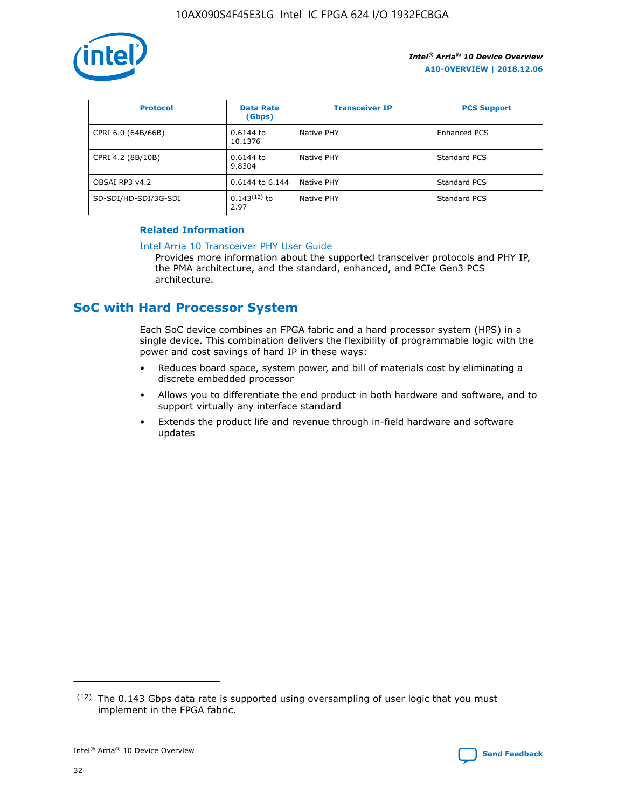

| <b>Protocol</b>      | <b>Data Rate</b><br>(Gbps) | <b>Transceiver IP</b> | <b>PCS Support</b> |
|----------------------|----------------------------|-----------------------|--------------------|
| CPRI 6.0 (64B/66B)   | 0.6144 to<br>10.1376       | Native PHY            | Enhanced PCS       |
| CPRI 4.2 (8B/10B)    | 0.6144 to<br>9.8304        | Native PHY            | Standard PCS       |
| OBSAI RP3 v4.2       | 0.6144 to 6.144            | Native PHY            | Standard PCS       |
| SD-SDI/HD-SDI/3G-SDI | $0.143(12)$ to<br>2.97     | Native PHY            | Standard PCS       |

## **Related Information**

#### [Intel Arria 10 Transceiver PHY User Guide](https://www.intel.com/content/www/us/en/programmable/documentation/nik1398707230472.html#nik1398707091164)

Provides more information about the supported transceiver protocols and PHY IP, the PMA architecture, and the standard, enhanced, and PCIe Gen3 PCS architecture.

# **SoC with Hard Processor System**

Each SoC device combines an FPGA fabric and a hard processor system (HPS) in a single device. This combination delivers the flexibility of programmable logic with the power and cost savings of hard IP in these ways:

- Reduces board space, system power, and bill of materials cost by eliminating a discrete embedded processor
- Allows you to differentiate the end product in both hardware and software, and to support virtually any interface standard
- Extends the product life and revenue through in-field hardware and software updates

 $(12)$  The 0.143 Gbps data rate is supported using oversampling of user logic that you must implement in the FPGA fabric.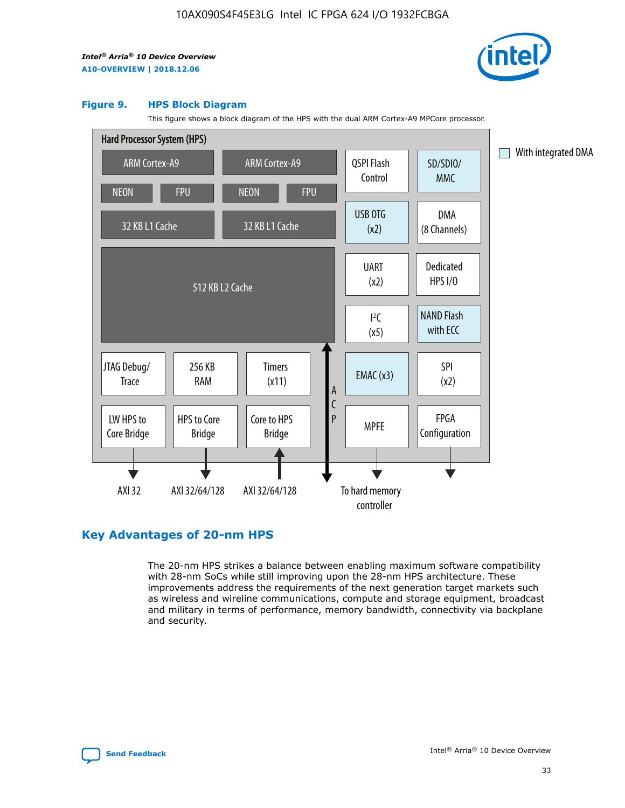

#### **Figure 9. HPS Block Diagram**

This figure shows a block diagram of the HPS with the dual ARM Cortex-A9 MPCore processor.



# **Key Advantages of 20-nm HPS**

The 20-nm HPS strikes a balance between enabling maximum software compatibility with 28-nm SoCs while still improving upon the 28-nm HPS architecture. These improvements address the requirements of the next generation target markets such as wireless and wireline communications, compute and storage equipment, broadcast and military in terms of performance, memory bandwidth, connectivity via backplane and security.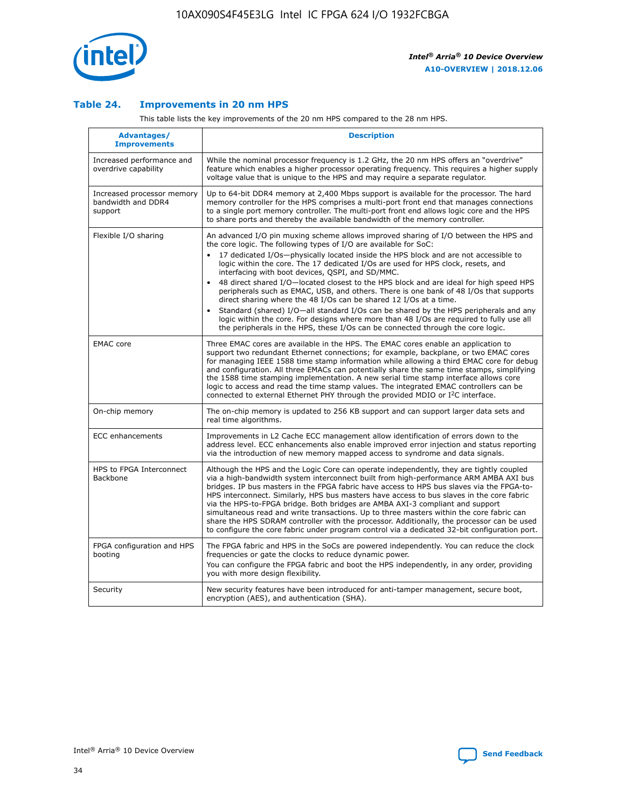

## **Table 24. Improvements in 20 nm HPS**

This table lists the key improvements of the 20 nm HPS compared to the 28 nm HPS.

| Advantages/<br><b>Improvements</b>                          | <b>Description</b>                                                                                                                                                                                                                                                                                                                                                                                                                                                                                                                                                                                                                                                                                                                                                                                                                                                                                                      |
|-------------------------------------------------------------|-------------------------------------------------------------------------------------------------------------------------------------------------------------------------------------------------------------------------------------------------------------------------------------------------------------------------------------------------------------------------------------------------------------------------------------------------------------------------------------------------------------------------------------------------------------------------------------------------------------------------------------------------------------------------------------------------------------------------------------------------------------------------------------------------------------------------------------------------------------------------------------------------------------------------|
| Increased performance and<br>overdrive capability           | While the nominal processor frequency is 1.2 GHz, the 20 nm HPS offers an "overdrive"<br>feature which enables a higher processor operating frequency. This requires a higher supply<br>voltage value that is unique to the HPS and may require a separate regulator.                                                                                                                                                                                                                                                                                                                                                                                                                                                                                                                                                                                                                                                   |
| Increased processor memory<br>bandwidth and DDR4<br>support | Up to 64-bit DDR4 memory at 2,400 Mbps support is available for the processor. The hard<br>memory controller for the HPS comprises a multi-port front end that manages connections<br>to a single port memory controller. The multi-port front end allows logic core and the HPS<br>to share ports and thereby the available bandwidth of the memory controller.                                                                                                                                                                                                                                                                                                                                                                                                                                                                                                                                                        |
| Flexible I/O sharing                                        | An advanced I/O pin muxing scheme allows improved sharing of I/O between the HPS and<br>the core logic. The following types of I/O are available for SoC:<br>17 dedicated I/Os-physically located inside the HPS block and are not accessible to<br>logic within the core. The 17 dedicated I/Os are used for HPS clock, resets, and<br>interfacing with boot devices, QSPI, and SD/MMC.<br>48 direct shared I/O-located closest to the HPS block and are ideal for high speed HPS<br>peripherals such as EMAC, USB, and others. There is one bank of 48 I/Os that supports<br>direct sharing where the 48 I/Os can be shared 12 I/Os at a time.<br>Standard (shared) I/O-all standard I/Os can be shared by the HPS peripherals and any<br>logic within the core. For designs where more than 48 I/Os are required to fully use all<br>the peripherals in the HPS, these I/Os can be connected through the core logic. |
| <b>EMAC</b> core                                            | Three EMAC cores are available in the HPS. The EMAC cores enable an application to<br>support two redundant Ethernet connections; for example, backplane, or two EMAC cores<br>for managing IEEE 1588 time stamp information while allowing a third EMAC core for debug<br>and configuration. All three EMACs can potentially share the same time stamps, simplifying<br>the 1588 time stamping implementation. A new serial time stamp interface allows core<br>logic to access and read the time stamp values. The integrated EMAC controllers can be<br>connected to external Ethernet PHY through the provided MDIO or I <sup>2</sup> C interface.                                                                                                                                                                                                                                                                  |
| On-chip memory                                              | The on-chip memory is updated to 256 KB support and can support larger data sets and<br>real time algorithms.                                                                                                                                                                                                                                                                                                                                                                                                                                                                                                                                                                                                                                                                                                                                                                                                           |
| <b>ECC</b> enhancements                                     | Improvements in L2 Cache ECC management allow identification of errors down to the<br>address level. ECC enhancements also enable improved error injection and status reporting<br>via the introduction of new memory mapped access to syndrome and data signals.                                                                                                                                                                                                                                                                                                                                                                                                                                                                                                                                                                                                                                                       |
| HPS to FPGA Interconnect<br><b>Backbone</b>                 | Although the HPS and the Logic Core can operate independently, they are tightly coupled<br>via a high-bandwidth system interconnect built from high-performance ARM AMBA AXI bus<br>bridges. IP bus masters in the FPGA fabric have access to HPS bus slaves via the FPGA-to-<br>HPS interconnect. Similarly, HPS bus masters have access to bus slaves in the core fabric<br>via the HPS-to-FPGA bridge. Both bridges are AMBA AXI-3 compliant and support<br>simultaneous read and write transactions. Up to three masters within the core fabric can<br>share the HPS SDRAM controller with the processor. Additionally, the processor can be used<br>to configure the core fabric under program control via a dedicated 32-bit configuration port.                                                                                                                                                                  |
| FPGA configuration and HPS<br>booting                       | The FPGA fabric and HPS in the SoCs are powered independently. You can reduce the clock<br>frequencies or gate the clocks to reduce dynamic power.<br>You can configure the FPGA fabric and boot the HPS independently, in any order, providing<br>you with more design flexibility.                                                                                                                                                                                                                                                                                                                                                                                                                                                                                                                                                                                                                                    |
| Security                                                    | New security features have been introduced for anti-tamper management, secure boot,<br>encryption (AES), and authentication (SHA).                                                                                                                                                                                                                                                                                                                                                                                                                                                                                                                                                                                                                                                                                                                                                                                      |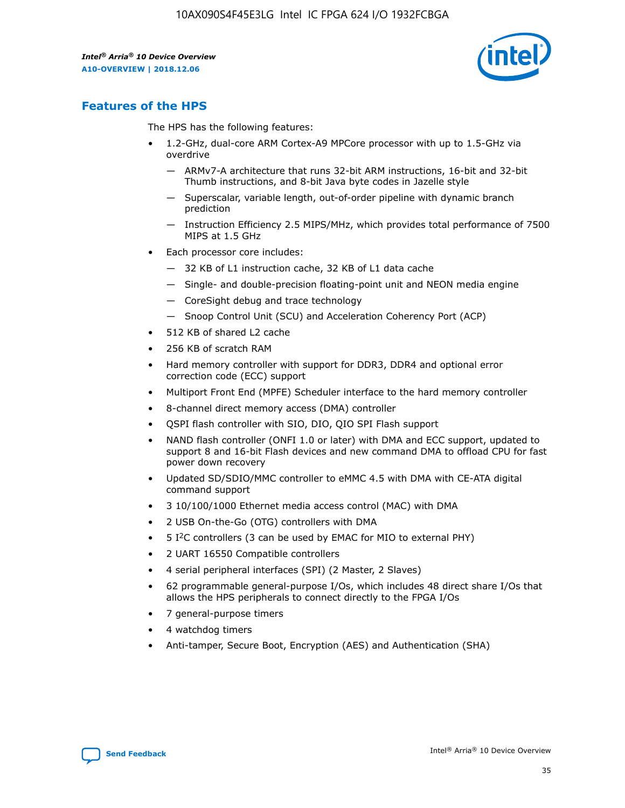

# **Features of the HPS**

The HPS has the following features:

- 1.2-GHz, dual-core ARM Cortex-A9 MPCore processor with up to 1.5-GHz via overdrive
	- ARMv7-A architecture that runs 32-bit ARM instructions, 16-bit and 32-bit Thumb instructions, and 8-bit Java byte codes in Jazelle style
	- Superscalar, variable length, out-of-order pipeline with dynamic branch prediction
	- Instruction Efficiency 2.5 MIPS/MHz, which provides total performance of 7500 MIPS at 1.5 GHz
- Each processor core includes:
	- 32 KB of L1 instruction cache, 32 KB of L1 data cache
	- Single- and double-precision floating-point unit and NEON media engine
	- CoreSight debug and trace technology
	- Snoop Control Unit (SCU) and Acceleration Coherency Port (ACP)
- 512 KB of shared L2 cache
- 256 KB of scratch RAM
- Hard memory controller with support for DDR3, DDR4 and optional error correction code (ECC) support
- Multiport Front End (MPFE) Scheduler interface to the hard memory controller
- 8-channel direct memory access (DMA) controller
- QSPI flash controller with SIO, DIO, QIO SPI Flash support
- NAND flash controller (ONFI 1.0 or later) with DMA and ECC support, updated to support 8 and 16-bit Flash devices and new command DMA to offload CPU for fast power down recovery
- Updated SD/SDIO/MMC controller to eMMC 4.5 with DMA with CE-ATA digital command support
- 3 10/100/1000 Ethernet media access control (MAC) with DMA
- 2 USB On-the-Go (OTG) controllers with DMA
- $\bullet$  5 I<sup>2</sup>C controllers (3 can be used by EMAC for MIO to external PHY)
- 2 UART 16550 Compatible controllers
- 4 serial peripheral interfaces (SPI) (2 Master, 2 Slaves)
- 62 programmable general-purpose I/Os, which includes 48 direct share I/Os that allows the HPS peripherals to connect directly to the FPGA I/Os
- 7 general-purpose timers
- 4 watchdog timers
- Anti-tamper, Secure Boot, Encryption (AES) and Authentication (SHA)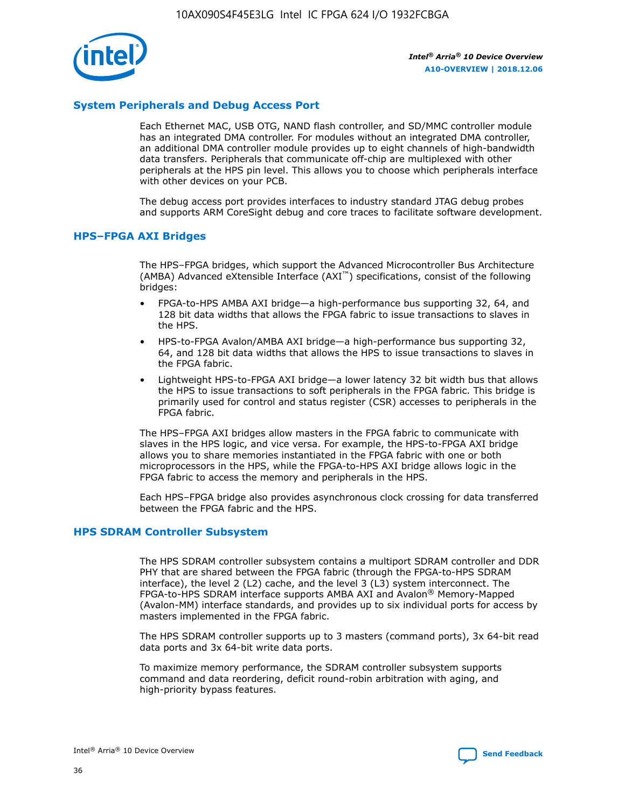

# **System Peripherals and Debug Access Port**

Each Ethernet MAC, USB OTG, NAND flash controller, and SD/MMC controller module has an integrated DMA controller. For modules without an integrated DMA controller, an additional DMA controller module provides up to eight channels of high-bandwidth data transfers. Peripherals that communicate off-chip are multiplexed with other peripherals at the HPS pin level. This allows you to choose which peripherals interface with other devices on your PCB.

The debug access port provides interfaces to industry standard JTAG debug probes and supports ARM CoreSight debug and core traces to facilitate software development.

## **HPS–FPGA AXI Bridges**

The HPS–FPGA bridges, which support the Advanced Microcontroller Bus Architecture (AMBA) Advanced eXtensible Interface (AXI™) specifications, consist of the following bridges:

- FPGA-to-HPS AMBA AXI bridge—a high-performance bus supporting 32, 64, and 128 bit data widths that allows the FPGA fabric to issue transactions to slaves in the HPS.
- HPS-to-FPGA Avalon/AMBA AXI bridge—a high-performance bus supporting 32, 64, and 128 bit data widths that allows the HPS to issue transactions to slaves in the FPGA fabric.
- Lightweight HPS-to-FPGA AXI bridge—a lower latency 32 bit width bus that allows the HPS to issue transactions to soft peripherals in the FPGA fabric. This bridge is primarily used for control and status register (CSR) accesses to peripherals in the FPGA fabric.

The HPS–FPGA AXI bridges allow masters in the FPGA fabric to communicate with slaves in the HPS logic, and vice versa. For example, the HPS-to-FPGA AXI bridge allows you to share memories instantiated in the FPGA fabric with one or both microprocessors in the HPS, while the FPGA-to-HPS AXI bridge allows logic in the FPGA fabric to access the memory and peripherals in the HPS.

Each HPS–FPGA bridge also provides asynchronous clock crossing for data transferred between the FPGA fabric and the HPS.

#### **HPS SDRAM Controller Subsystem**

The HPS SDRAM controller subsystem contains a multiport SDRAM controller and DDR PHY that are shared between the FPGA fabric (through the FPGA-to-HPS SDRAM interface), the level 2 (L2) cache, and the level 3 (L3) system interconnect. The FPGA-to-HPS SDRAM interface supports AMBA AXI and Avalon® Memory-Mapped (Avalon-MM) interface standards, and provides up to six individual ports for access by masters implemented in the FPGA fabric.

The HPS SDRAM controller supports up to 3 masters (command ports), 3x 64-bit read data ports and 3x 64-bit write data ports.

To maximize memory performance, the SDRAM controller subsystem supports command and data reordering, deficit round-robin arbitration with aging, and high-priority bypass features.

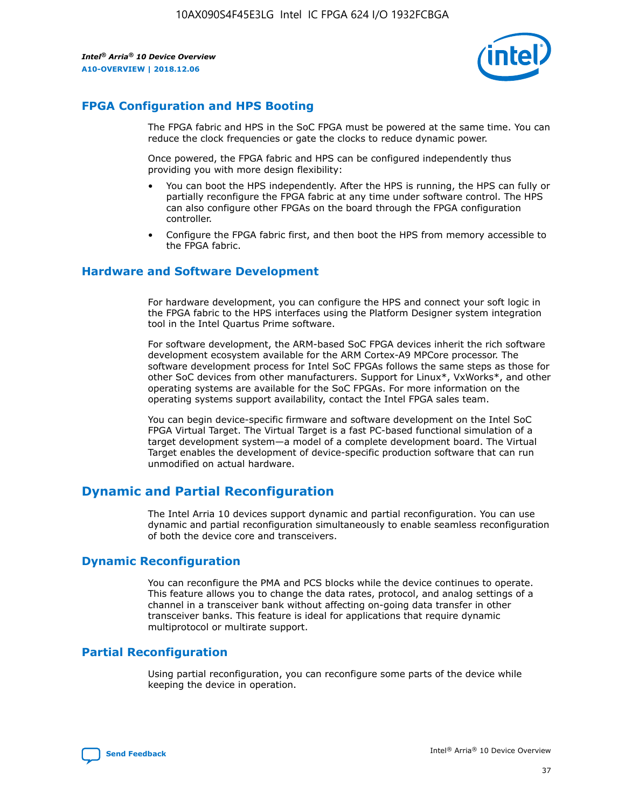

# **FPGA Configuration and HPS Booting**

The FPGA fabric and HPS in the SoC FPGA must be powered at the same time. You can reduce the clock frequencies or gate the clocks to reduce dynamic power.

Once powered, the FPGA fabric and HPS can be configured independently thus providing you with more design flexibility:

- You can boot the HPS independently. After the HPS is running, the HPS can fully or partially reconfigure the FPGA fabric at any time under software control. The HPS can also configure other FPGAs on the board through the FPGA configuration controller.
- Configure the FPGA fabric first, and then boot the HPS from memory accessible to the FPGA fabric.

## **Hardware and Software Development**

For hardware development, you can configure the HPS and connect your soft logic in the FPGA fabric to the HPS interfaces using the Platform Designer system integration tool in the Intel Quartus Prime software.

For software development, the ARM-based SoC FPGA devices inherit the rich software development ecosystem available for the ARM Cortex-A9 MPCore processor. The software development process for Intel SoC FPGAs follows the same steps as those for other SoC devices from other manufacturers. Support for Linux\*, VxWorks\*, and other operating systems are available for the SoC FPGAs. For more information on the operating systems support availability, contact the Intel FPGA sales team.

You can begin device-specific firmware and software development on the Intel SoC FPGA Virtual Target. The Virtual Target is a fast PC-based functional simulation of a target development system—a model of a complete development board. The Virtual Target enables the development of device-specific production software that can run unmodified on actual hardware.

# **Dynamic and Partial Reconfiguration**

The Intel Arria 10 devices support dynamic and partial reconfiguration. You can use dynamic and partial reconfiguration simultaneously to enable seamless reconfiguration of both the device core and transceivers.

# **Dynamic Reconfiguration**

You can reconfigure the PMA and PCS blocks while the device continues to operate. This feature allows you to change the data rates, protocol, and analog settings of a channel in a transceiver bank without affecting on-going data transfer in other transceiver banks. This feature is ideal for applications that require dynamic multiprotocol or multirate support.

# **Partial Reconfiguration**

Using partial reconfiguration, you can reconfigure some parts of the device while keeping the device in operation.

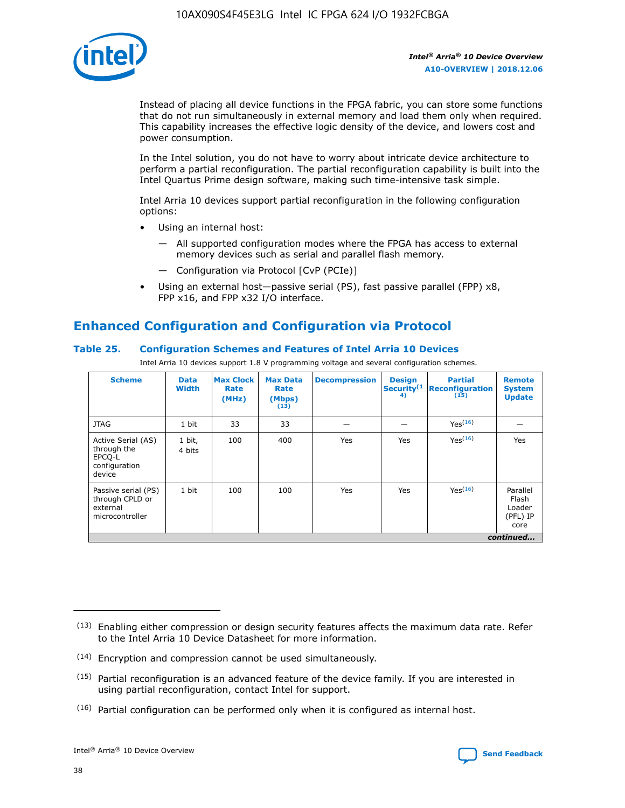

Instead of placing all device functions in the FPGA fabric, you can store some functions that do not run simultaneously in external memory and load them only when required. This capability increases the effective logic density of the device, and lowers cost and power consumption.

In the Intel solution, you do not have to worry about intricate device architecture to perform a partial reconfiguration. The partial reconfiguration capability is built into the Intel Quartus Prime design software, making such time-intensive task simple.

Intel Arria 10 devices support partial reconfiguration in the following configuration options:

- Using an internal host:
	- All supported configuration modes where the FPGA has access to external memory devices such as serial and parallel flash memory.
	- Configuration via Protocol [CvP (PCIe)]
- Using an external host—passive serial (PS), fast passive parallel (FPP) x8, FPP x16, and FPP x32 I/O interface.

# **Enhanced Configuration and Configuration via Protocol**

# **Table 25. Configuration Schemes and Features of Intel Arria 10 Devices**

Intel Arria 10 devices support 1.8 V programming voltage and several configuration schemes.

| <b>Scheme</b>                                                          | <b>Data</b><br><b>Width</b> | <b>Max Clock</b><br>Rate<br>(MHz) | <b>Max Data</b><br>Rate<br>(Mbps)<br>(13) | <b>Decompression</b> | <b>Design</b><br>Security <sup>(1</sup><br>4) | <b>Partial</b><br><b>Reconfiguration</b><br>(15) | <b>Remote</b><br><b>System</b><br><b>Update</b> |
|------------------------------------------------------------------------|-----------------------------|-----------------------------------|-------------------------------------------|----------------------|-----------------------------------------------|--------------------------------------------------|-------------------------------------------------|
| <b>JTAG</b>                                                            | 1 bit                       | 33                                | 33                                        |                      |                                               | Yes(16)                                          |                                                 |
| Active Serial (AS)<br>through the<br>EPCO-L<br>configuration<br>device | 1 bit,<br>4 bits            | 100                               | 400                                       | Yes                  | Yes                                           | $Y_{PS}(16)$                                     | Yes                                             |
| Passive serial (PS)<br>through CPLD or<br>external<br>microcontroller  | 1 bit                       | 100                               | 100                                       | Yes                  | Yes                                           | Yes(16)                                          | Parallel<br>Flash<br>Loader<br>(PFL) IP<br>core |
|                                                                        |                             |                                   |                                           |                      |                                               |                                                  | continued                                       |

<sup>(13)</sup> Enabling either compression or design security features affects the maximum data rate. Refer to the Intel Arria 10 Device Datasheet for more information.

<sup>(14)</sup> Encryption and compression cannot be used simultaneously.

 $<sup>(15)</sup>$  Partial reconfiguration is an advanced feature of the device family. If you are interested in</sup> using partial reconfiguration, contact Intel for support.

 $(16)$  Partial configuration can be performed only when it is configured as internal host.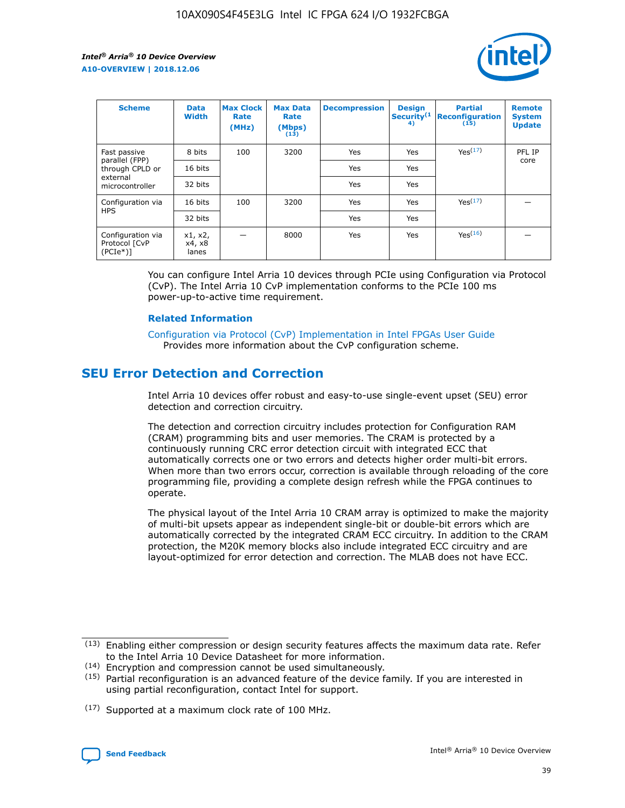

| <b>Scheme</b>                                    | <b>Data</b><br><b>Width</b> | <b>Max Clock</b><br>Rate<br>(MHz) | <b>Max Data</b><br>Rate<br>(Mbps)<br>(13) | <b>Decompression</b> | <b>Design</b><br>Security <sup>(1</sup><br>4) | <b>Partial</b><br><b>Reconfiguration</b><br>(15) | <b>Remote</b><br><b>System</b><br><b>Update</b> |
|--------------------------------------------------|-----------------------------|-----------------------------------|-------------------------------------------|----------------------|-----------------------------------------------|--------------------------------------------------|-------------------------------------------------|
| Fast passive                                     | 8 bits                      | 100                               | 3200                                      | <b>Yes</b>           | Yes                                           | Yes(17)                                          | PFL IP                                          |
| parallel (FPP)<br>through CPLD or                | 16 bits                     |                                   |                                           | Yes                  | Yes                                           |                                                  | core                                            |
| external<br>microcontroller                      | 32 bits                     |                                   |                                           | Yes                  | Yes                                           |                                                  |                                                 |
| Configuration via                                | 16 bits                     | 100                               | 3200                                      | Yes                  | Yes                                           | Yes <sup>(17)</sup>                              |                                                 |
| <b>HPS</b>                                       | 32 bits                     |                                   |                                           | Yes                  | Yes                                           |                                                  |                                                 |
| Configuration via<br>Protocol [CvP<br>$(PCIe^*)$ | x1, x2,<br>x4, x8<br>lanes  |                                   | 8000                                      | Yes                  | Yes                                           | Yes <sup>(16)</sup>                              |                                                 |

You can configure Intel Arria 10 devices through PCIe using Configuration via Protocol (CvP). The Intel Arria 10 CvP implementation conforms to the PCIe 100 ms power-up-to-active time requirement.

#### **Related Information**

[Configuration via Protocol \(CvP\) Implementation in Intel FPGAs User Guide](https://www.intel.com/content/www/us/en/programmable/documentation/dsu1441819344145.html#dsu1442269728522) Provides more information about the CvP configuration scheme.

# **SEU Error Detection and Correction**

Intel Arria 10 devices offer robust and easy-to-use single-event upset (SEU) error detection and correction circuitry.

The detection and correction circuitry includes protection for Configuration RAM (CRAM) programming bits and user memories. The CRAM is protected by a continuously running CRC error detection circuit with integrated ECC that automatically corrects one or two errors and detects higher order multi-bit errors. When more than two errors occur, correction is available through reloading of the core programming file, providing a complete design refresh while the FPGA continues to operate.

The physical layout of the Intel Arria 10 CRAM array is optimized to make the majority of multi-bit upsets appear as independent single-bit or double-bit errors which are automatically corrected by the integrated CRAM ECC circuitry. In addition to the CRAM protection, the M20K memory blocks also include integrated ECC circuitry and are layout-optimized for error detection and correction. The MLAB does not have ECC.

(14) Encryption and compression cannot be used simultaneously.

<sup>(17)</sup> Supported at a maximum clock rate of 100 MHz.



 $(13)$  Enabling either compression or design security features affects the maximum data rate. Refer to the Intel Arria 10 Device Datasheet for more information.

 $(15)$  Partial reconfiguration is an advanced feature of the device family. If you are interested in using partial reconfiguration, contact Intel for support.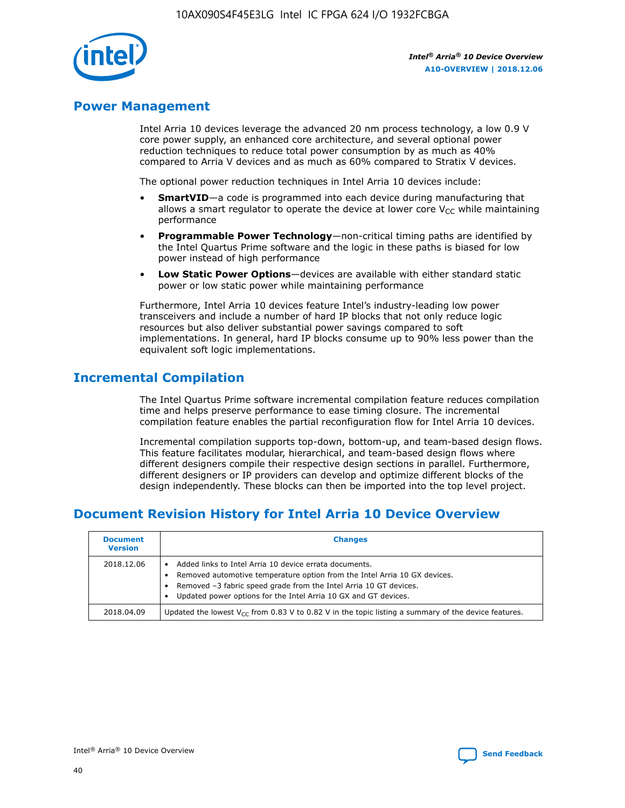

# **Power Management**

Intel Arria 10 devices leverage the advanced 20 nm process technology, a low 0.9 V core power supply, an enhanced core architecture, and several optional power reduction techniques to reduce total power consumption by as much as 40% compared to Arria V devices and as much as 60% compared to Stratix V devices.

The optional power reduction techniques in Intel Arria 10 devices include:

- **SmartVID**—a code is programmed into each device during manufacturing that allows a smart regulator to operate the device at lower core  $V_{CC}$  while maintaining performance
- **Programmable Power Technology**—non-critical timing paths are identified by the Intel Quartus Prime software and the logic in these paths is biased for low power instead of high performance
- **Low Static Power Options**—devices are available with either standard static power or low static power while maintaining performance

Furthermore, Intel Arria 10 devices feature Intel's industry-leading low power transceivers and include a number of hard IP blocks that not only reduce logic resources but also deliver substantial power savings compared to soft implementations. In general, hard IP blocks consume up to 90% less power than the equivalent soft logic implementations.

# **Incremental Compilation**

The Intel Quartus Prime software incremental compilation feature reduces compilation time and helps preserve performance to ease timing closure. The incremental compilation feature enables the partial reconfiguration flow for Intel Arria 10 devices.

Incremental compilation supports top-down, bottom-up, and team-based design flows. This feature facilitates modular, hierarchical, and team-based design flows where different designers compile their respective design sections in parallel. Furthermore, different designers or IP providers can develop and optimize different blocks of the design independently. These blocks can then be imported into the top level project.

# **Document Revision History for Intel Arria 10 Device Overview**

| <b>Document</b><br><b>Version</b> | <b>Changes</b>                                                                                                                                                                                                                                                              |
|-----------------------------------|-----------------------------------------------------------------------------------------------------------------------------------------------------------------------------------------------------------------------------------------------------------------------------|
| 2018.12.06                        | Added links to Intel Arria 10 device errata documents.<br>Removed automotive temperature option from the Intel Arria 10 GX devices.<br>Removed -3 fabric speed grade from the Intel Arria 10 GT devices.<br>Updated power options for the Intel Arria 10 GX and GT devices. |
| 2018.04.09                        | Updated the lowest $V_{CC}$ from 0.83 V to 0.82 V in the topic listing a summary of the device features.                                                                                                                                                                    |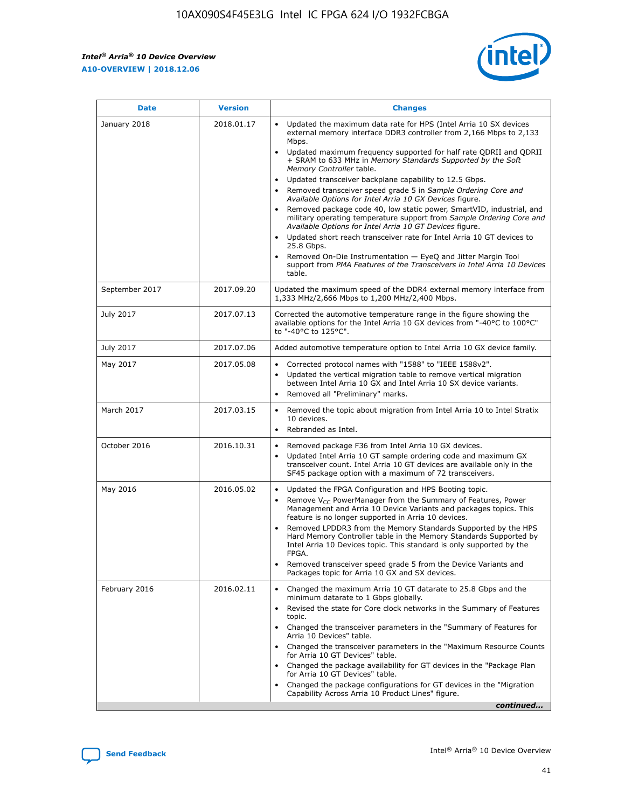*Intel® Arria® 10 Device Overview* **A10-OVERVIEW | 2018.12.06**



| <b>Date</b>    | <b>Version</b> | <b>Changes</b>                                                                                                                                                                                                                                                                                                                                                                                                                                                                                                                                                                                                                                                                                                                                                                                                                                                                                                                                                            |
|----------------|----------------|---------------------------------------------------------------------------------------------------------------------------------------------------------------------------------------------------------------------------------------------------------------------------------------------------------------------------------------------------------------------------------------------------------------------------------------------------------------------------------------------------------------------------------------------------------------------------------------------------------------------------------------------------------------------------------------------------------------------------------------------------------------------------------------------------------------------------------------------------------------------------------------------------------------------------------------------------------------------------|
| January 2018   | 2018.01.17     | Updated the maximum data rate for HPS (Intel Arria 10 SX devices<br>external memory interface DDR3 controller from 2,166 Mbps to 2,133<br>Mbps.<br>Updated maximum frequency supported for half rate QDRII and QDRII<br>+ SRAM to 633 MHz in Memory Standards Supported by the Soft<br>Memory Controller table.<br>Updated transceiver backplane capability to 12.5 Gbps.<br>$\bullet$<br>Removed transceiver speed grade 5 in Sample Ordering Core and<br>Available Options for Intel Arria 10 GX Devices figure.<br>Removed package code 40, low static power, SmartVID, industrial, and<br>military operating temperature support from Sample Ordering Core and<br>Available Options for Intel Arria 10 GT Devices figure.<br>Updated short reach transceiver rate for Intel Arria 10 GT devices to<br>25.8 Gbps.<br>Removed On-Die Instrumentation - EyeQ and Jitter Margin Tool<br>support from PMA Features of the Transceivers in Intel Arria 10 Devices<br>table. |
| September 2017 | 2017.09.20     | Updated the maximum speed of the DDR4 external memory interface from<br>1,333 MHz/2,666 Mbps to 1,200 MHz/2,400 Mbps.                                                                                                                                                                                                                                                                                                                                                                                                                                                                                                                                                                                                                                                                                                                                                                                                                                                     |
| July 2017      | 2017.07.13     | Corrected the automotive temperature range in the figure showing the<br>available options for the Intel Arria 10 GX devices from "-40°C to 100°C"<br>to "-40°C to 125°C".                                                                                                                                                                                                                                                                                                                                                                                                                                                                                                                                                                                                                                                                                                                                                                                                 |
| July 2017      | 2017.07.06     | Added automotive temperature option to Intel Arria 10 GX device family.                                                                                                                                                                                                                                                                                                                                                                                                                                                                                                                                                                                                                                                                                                                                                                                                                                                                                                   |
| May 2017       | 2017.05.08     | Corrected protocol names with "1588" to "IEEE 1588v2".<br>$\bullet$<br>Updated the vertical migration table to remove vertical migration<br>$\bullet$<br>between Intel Arria 10 GX and Intel Arria 10 SX device variants.<br>Removed all "Preliminary" marks.<br>$\bullet$                                                                                                                                                                                                                                                                                                                                                                                                                                                                                                                                                                                                                                                                                                |
| March 2017     | 2017.03.15     | Removed the topic about migration from Intel Arria 10 to Intel Stratix<br>10 devices.<br>Rebranded as Intel.<br>$\bullet$                                                                                                                                                                                                                                                                                                                                                                                                                                                                                                                                                                                                                                                                                                                                                                                                                                                 |
| October 2016   | 2016.10.31     | Removed package F36 from Intel Arria 10 GX devices.<br>Updated Intel Arria 10 GT sample ordering code and maximum GX<br>$\bullet$<br>transceiver count. Intel Arria 10 GT devices are available only in the<br>SF45 package option with a maximum of 72 transceivers.                                                                                                                                                                                                                                                                                                                                                                                                                                                                                                                                                                                                                                                                                                     |
| May 2016       | 2016.05.02     | Updated the FPGA Configuration and HPS Booting topic.<br>$\bullet$<br>Remove V <sub>CC</sub> PowerManager from the Summary of Features, Power<br>Management and Arria 10 Device Variants and packages topics. This<br>feature is no longer supported in Arria 10 devices.<br>Removed LPDDR3 from the Memory Standards Supported by the HPS<br>Hard Memory Controller table in the Memory Standards Supported by<br>Intel Arria 10 Devices topic. This standard is only supported by the<br>FPGA.<br>Removed transceiver speed grade 5 from the Device Variants and<br>Packages topic for Arria 10 GX and SX devices.                                                                                                                                                                                                                                                                                                                                                      |
| February 2016  | 2016.02.11     | Changed the maximum Arria 10 GT datarate to 25.8 Gbps and the<br>minimum datarate to 1 Gbps globally.<br>Revised the state for Core clock networks in the Summary of Features<br>$\bullet$<br>topic.<br>Changed the transceiver parameters in the "Summary of Features for<br>$\bullet$<br>Arria 10 Devices" table.<br>• Changed the transceiver parameters in the "Maximum Resource Counts<br>for Arria 10 GT Devices" table.<br>Changed the package availability for GT devices in the "Package Plan<br>for Arria 10 GT Devices" table.<br>Changed the package configurations for GT devices in the "Migration"<br>Capability Across Arria 10 Product Lines" figure.<br>continued                                                                                                                                                                                                                                                                                       |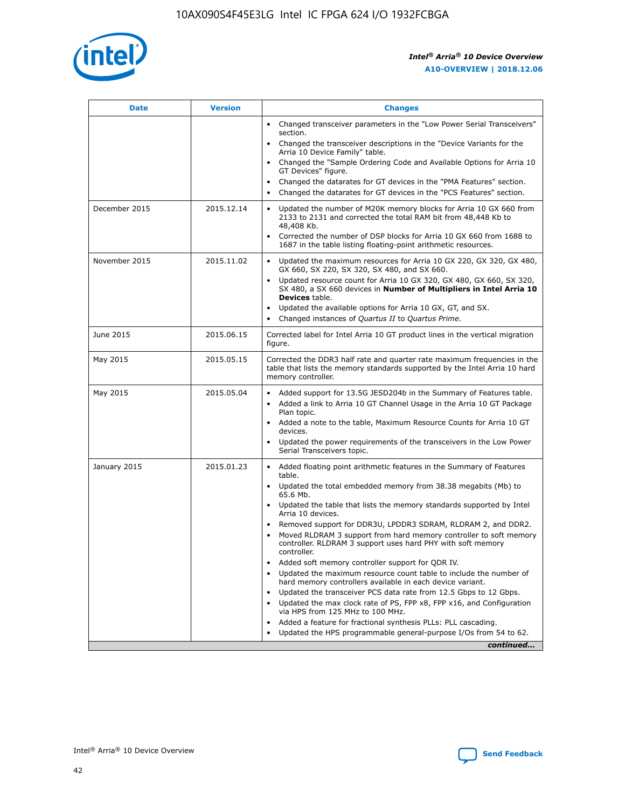

| <b>Date</b>   | <b>Version</b> | <b>Changes</b>                                                                                                                                                               |
|---------------|----------------|------------------------------------------------------------------------------------------------------------------------------------------------------------------------------|
|               |                | Changed transceiver parameters in the "Low Power Serial Transceivers"<br>$\bullet$<br>section.                                                                               |
|               |                | • Changed the transceiver descriptions in the "Device Variants for the<br>Arria 10 Device Family" table.                                                                     |
|               |                | • Changed the "Sample Ordering Code and Available Options for Arria 10<br>GT Devices" figure.                                                                                |
|               |                | Changed the datarates for GT devices in the "PMA Features" section.                                                                                                          |
|               |                | Changed the datarates for GT devices in the "PCS Features" section.<br>$\bullet$                                                                                             |
| December 2015 | 2015.12.14     | Updated the number of M20K memory blocks for Arria 10 GX 660 from<br>2133 to 2131 and corrected the total RAM bit from 48,448 Kb to<br>48,408 Kb.                            |
|               |                | Corrected the number of DSP blocks for Arria 10 GX 660 from 1688 to<br>$\bullet$<br>1687 in the table listing floating-point arithmetic resources.                           |
| November 2015 | 2015.11.02     | Updated the maximum resources for Arria 10 GX 220, GX 320, GX 480,<br>GX 660, SX 220, SX 320, SX 480, and SX 660.                                                            |
|               |                | Updated resource count for Arria 10 GX 320, GX 480, GX 660, SX 320,<br>SX 480, a SX 660 devices in Number of Multipliers in Intel Arria 10<br><b>Devices</b> table.          |
|               |                | Updated the available options for Arria 10 GX, GT, and SX.<br>$\bullet$                                                                                                      |
|               |                | Changed instances of Quartus II to Quartus Prime.<br>$\bullet$                                                                                                               |
| June 2015     | 2015.06.15     | Corrected label for Intel Arria 10 GT product lines in the vertical migration<br>figure.                                                                                     |
| May 2015      | 2015.05.15     | Corrected the DDR3 half rate and quarter rate maximum frequencies in the<br>table that lists the memory standards supported by the Intel Arria 10 hard<br>memory controller. |
| May 2015      | 2015.05.04     | • Added support for 13.5G JESD204b in the Summary of Features table.                                                                                                         |
|               |                | Added a link to Arria 10 GT Channel Usage in the Arria 10 GT Package<br>$\bullet$<br>Plan topic.                                                                             |
|               |                | • Added a note to the table, Maximum Resource Counts for Arria 10 GT<br>devices.                                                                                             |
|               |                | • Updated the power requirements of the transceivers in the Low Power<br>Serial Transceivers topic.                                                                          |
| January 2015  | 2015.01.23     | • Added floating point arithmetic features in the Summary of Features<br>table.                                                                                              |
|               |                | • Updated the total embedded memory from 38.38 megabits (Mb) to<br>65.6 Mb.                                                                                                  |
|               |                | • Updated the table that lists the memory standards supported by Intel<br>Arria 10 devices.                                                                                  |
|               |                | Removed support for DDR3U, LPDDR3 SDRAM, RLDRAM 2, and DDR2.                                                                                                                 |
|               |                | Moved RLDRAM 3 support from hard memory controller to soft memory<br>controller. RLDRAM 3 support uses hard PHY with soft memory<br>controller.                              |
|               |                | Added soft memory controller support for QDR IV.                                                                                                                             |
|               |                | Updated the maximum resource count table to include the number of<br>hard memory controllers available in each device variant.                                               |
|               |                | Updated the transceiver PCS data rate from 12.5 Gbps to 12 Gbps.                                                                                                             |
|               |                | Updated the max clock rate of PS, FPP x8, FPP x16, and Configuration<br>via HPS from 125 MHz to 100 MHz.                                                                     |
|               |                | Added a feature for fractional synthesis PLLs: PLL cascading.                                                                                                                |
|               |                | Updated the HPS programmable general-purpose I/Os from 54 to 62.<br>$\bullet$                                                                                                |
|               |                | continued                                                                                                                                                                    |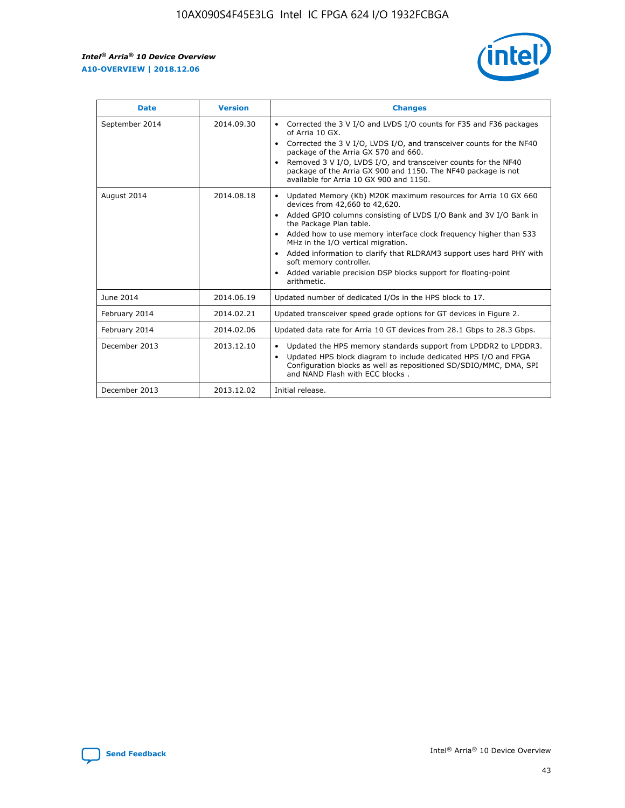r



| <b>Date</b>    | <b>Version</b> | <b>Changes</b>                                                                                                                                                                                                                                                                                                                                                                                                                                                                                                                         |
|----------------|----------------|----------------------------------------------------------------------------------------------------------------------------------------------------------------------------------------------------------------------------------------------------------------------------------------------------------------------------------------------------------------------------------------------------------------------------------------------------------------------------------------------------------------------------------------|
| September 2014 | 2014.09.30     | Corrected the 3 V I/O and LVDS I/O counts for F35 and F36 packages<br>of Arria 10 GX.<br>Corrected the 3 V I/O, LVDS I/O, and transceiver counts for the NF40<br>$\bullet$<br>package of the Arria GX 570 and 660.<br>Removed 3 V I/O, LVDS I/O, and transceiver counts for the NF40<br>package of the Arria GX 900 and 1150. The NF40 package is not<br>available for Arria 10 GX 900 and 1150.                                                                                                                                       |
| August 2014    | 2014.08.18     | Updated Memory (Kb) M20K maximum resources for Arria 10 GX 660<br>devices from 42,660 to 42,620.<br>Added GPIO columns consisting of LVDS I/O Bank and 3V I/O Bank in<br>$\bullet$<br>the Package Plan table.<br>Added how to use memory interface clock frequency higher than 533<br>$\bullet$<br>MHz in the I/O vertical migration.<br>Added information to clarify that RLDRAM3 support uses hard PHY with<br>$\bullet$<br>soft memory controller.<br>Added variable precision DSP blocks support for floating-point<br>arithmetic. |
| June 2014      | 2014.06.19     | Updated number of dedicated I/Os in the HPS block to 17.                                                                                                                                                                                                                                                                                                                                                                                                                                                                               |
| February 2014  | 2014.02.21     | Updated transceiver speed grade options for GT devices in Figure 2.                                                                                                                                                                                                                                                                                                                                                                                                                                                                    |
| February 2014  | 2014.02.06     | Updated data rate for Arria 10 GT devices from 28.1 Gbps to 28.3 Gbps.                                                                                                                                                                                                                                                                                                                                                                                                                                                                 |
| December 2013  | 2013.12.10     | Updated the HPS memory standards support from LPDDR2 to LPDDR3.<br>Updated HPS block diagram to include dedicated HPS I/O and FPGA<br>$\bullet$<br>Configuration blocks as well as repositioned SD/SDIO/MMC, DMA, SPI<br>and NAND Flash with ECC blocks.                                                                                                                                                                                                                                                                               |
| December 2013  | 2013.12.02     | Initial release.                                                                                                                                                                                                                                                                                                                                                                                                                                                                                                                       |